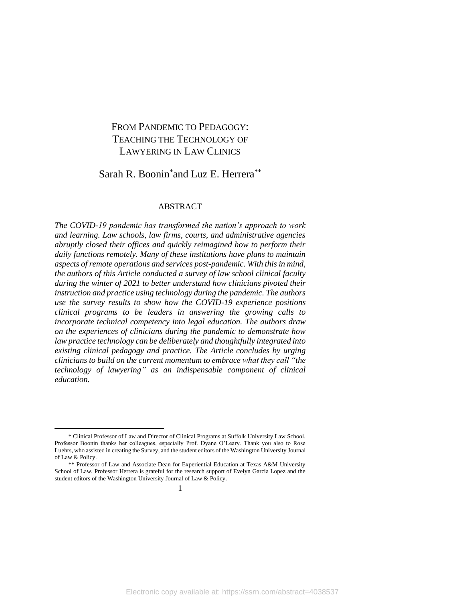# FROM PANDEMIC TO PEDAGOGY: TEACHING THE TECHNOLOGY OF LAWYERING IN LAW CLINICS

# Sarah R. Boonin<sup>\*</sup>and Luz E. Herrera<sup>\*\*</sup>

#### ABSTRACT

*The COVID-19 pandemic has transformed the nation's approach to work and learning. Law schools, law firms, courts, and administrative agencies abruptly closed their offices and quickly reimagined how to perform their daily functions remotely. Many of these institutions have plans to maintain aspects of remote operations and services post-pandemic. With this in mind, the authors of this Article conducted a survey of law school clinical faculty during the winter of 2021 to better understand how clinicians pivoted their instruction and practice using technology during the pandemic. The authors use the survey results to show how the COVID-19 experience positions clinical programs to be leaders in answering the growing calls to incorporate technical competency into legal education. The authors draw on the experiences of clinicians during the pandemic to demonstrate how law practice technology can be deliberately and thoughtfully integrated into existing clinical pedagogy and practice. The Article concludes by urging clinicians to build on the current momentum to embrace what they call "the technology of lawyering" as an indispensable component of clinical education.*

<sup>\*</sup> Clinical Professor of Law and Director of Clinical Programs at Suffolk University Law School. Professor Boonin thanks her colleagues, especially Prof. Dyane O'Leary. Thank you also to Rose Luehrs, who assisted in creating the Survey, and the student editors of the Washington University Journal of Law & Policy.

<sup>\*\*</sup> Professor of Law and Associate Dean for Experiential Education at Texas A&M University School of Law. Professor Herrera is grateful for the research support of Evelyn Garcia Lopez and the student editors of the Washington University Journal of Law & Policy.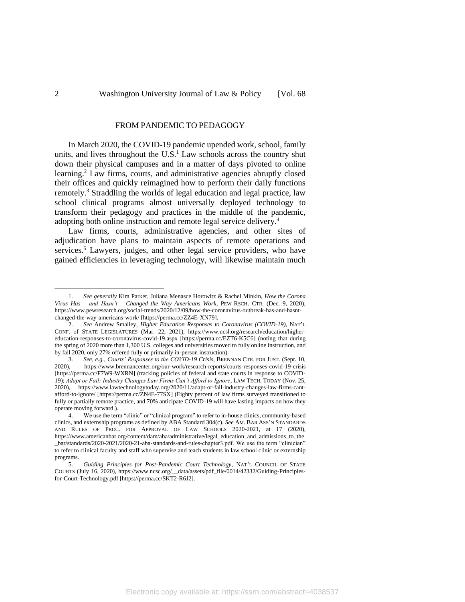#### <span id="page-1-0"></span>FROM PANDEMIC TO PEDAGOGY

In March 2020, the COVID-19 pandemic upended work, school, family units, and lives throughout the U.S. <sup>1</sup> Law schools across the country shut down their physical campuses and in a matter of days pivoted to online learning.<sup>2</sup> Law firms, courts, and administrative agencies abruptly closed their offices and quickly reimagined how to perform their daily functions remotely.<sup>3</sup> Straddling the worlds of legal education and legal practice, law school clinical programs almost universally deployed technology to transform their pedagogy and practices in the middle of the pandemic, adopting both online instruction and remote legal service delivery.<sup>4</sup>

Law firms, courts, administrative agencies, and other sites of adjudication have plans to maintain aspects of remote operations and services.<sup>5</sup> Lawyers, judges, and other legal service providers, who have gained efficiencies in leveraging technology, will likewise maintain much

<sup>1.</sup> *See generally* Kim Parker, Juliana Menasce Horowitz & Rachel Minkin, *How the Corona Virus Has – and Hasn't – Changed the Way Americans Work*, PEW RSCH. CTR. (Dec. 9, 2020), https://www.pewresearch.org/social-trends/2020/12/09/how-the-coronavirus-outbreak-has-and-hasntchanged-the-way-americans-work/ [https://perma.cc/ZZ4E-XN79].

<sup>2.</sup> *See* Andrew Smalley, *Higher Education Responses to Coronavirus (COVID-19)*, NAT'L CONF. of STATE LEGISLATURES (Mar. 22, 2021), https://www.ncsl.org/research/education/highereducation-responses-to-coronavirus-covid-19.aspx [https://perma.cc/EZT6-K5C6] (noting that during the spring of 2020 more than 1,300 U.S. colleges and universities moved to fully online instruction, and by fall 2020, only 27% offered fully or primarily in-person instruction).

<sup>3.</sup> *See, e.g.*, *Courts' Responses to the COVID-19 Crisis*, BRENNAN CTR. FOR JUST. (Sept. 10, 2020), https://www.brennancenter.org/our-work/research-reports/courts-responses-covid-19-crisis [https://perma.cc/F7W9-WXRN] (tracking policies of federal and state courts in response to COVID-19); *Adapt or Fail: Industry Changes Law Firms Can't Afford to Ignore*, LAW TECH. TODAY (Nov. 25, 2020), https://www.lawtechnologytoday.org/2020/11/adapt-or-fail-industry-changes-law-firms-cantafford-to-ignore/ [https://perma.cc/ZN4E-77SX] (Eighty percent of law firms surveyed transitioned to fully or partially remote practice, and 70% anticipate COVID-19 will have lasting impacts on how they operate moving forward.).

<sup>4.</sup> We use the term "clinic" or "clinical program" to refer to in-house clinics, community-based clinics, and externship programs as defined by ABA Standard 304(c). *See* AM. BAR ASS'N STANDARDS AND RULES OF PROC. FOR APPROVAL OF LAW SCHOOLS 2020-2021, at 17 (2020), https://www.americanbar.org/content/dam/aba/administrative/legal\_education\_and\_admissions\_to\_the \_bar/standards/2020-2021/2020-21-aba-standards-and-rules-chapter3.pdf. We use the term "clinician" to refer to clinical faculty and staff who supervise and teach students in law school clinic or externship programs.

<sup>5.</sup> *Guiding Principles for Post-Pandemic Court Technology*, NAT'L COUNCIL OF STATE COURTS (July 16, 2020), https://www.ncsc.org/\_\_data/assets/pdf\_file/0014/42332/Guiding-Principlesfor-Court-Technology.pdf [https://perma.cc/SKT2-R6J2].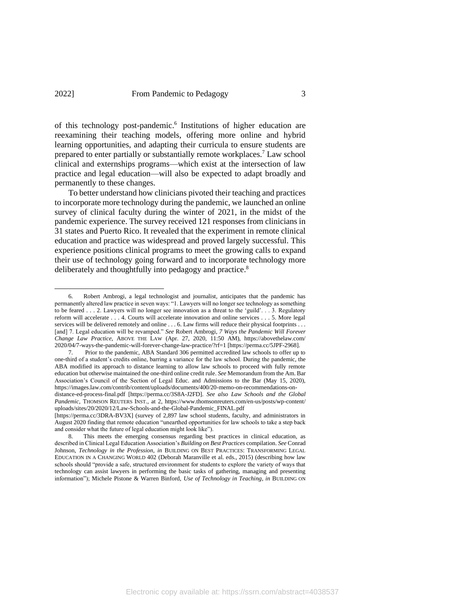of this technology post-pandemic. 6 Institutions of higher education are reexamining their teaching models, offering more online and hybrid learning opportunities, and adapting their curricula to ensure students are prepared to enter partially or substantially remote workplaces.<sup>7</sup> Law school clinical and externships programs—which exist at the intersection of law practice and legal education—will also be expected to adapt broadly and permanently to these changes.

To better understand how clinicians pivoted their teaching and practices to incorporate more technology during the pandemic, we launched an online survey of clinical faculty during the winter of 2021, in the midst of the pandemic experience. The survey received 121 responses from clinicians in 31 states and Puerto Rico. It revealed that the experiment in remote clinical education and practice was widespread and proved largely successful. This experience positions clinical programs to meet the growing calls to expand their use of technology going forward and to incorporate technology more deliberately and thoughtfully into pedagogy and practice.<sup>8</sup>

<sup>6.</sup> Robert Ambrogi, a legal technologist and journalist, anticipates that the pandemic has permanently altered law practice in seven ways: "1. Lawyers will no longer see technology as something to be feared . . . 2. Lawyers will no longer see innovation as a threat to the 'guild'. . . 3. Regulatory reform will accelerate . . . 4. Courts will accelerate innovation and online services . . . 5. More legal services will be delivered remotely and online . . . 6. Law firms will reduce their physical footprints . . . [and] 7. Legal education will be revamped." *See* Robert Ambrogi, *7 Ways the Pandemic Will Forever Change Law Practice*, ABOVE THE LAW (Apr. 27, 2020, 11:50 AM), https://abovethelaw.com/ 2020/04/7-ways-the-pandemic-will-forever-change-law-practice/?rf=1 [https://perma.cc/5JPF-2968].

<sup>7.</sup> Prior to the pandemic, ABA Standard 306 permitted accredited law schools to offer up to one-third of a student's credits online, barring a variance for the law school. During the pandemic, the ABA modified its approach to distance learning to allow law schools to proceed with fully remote education but otherwise maintained the one-third online credit rule. *See* Memorandum from the Am. Bar Association's Council of the Section of Legal Educ. and Admissions to the Bar (May 15, 2020), https://images.law.com/contrib/content/uploads/documents/400/20-memo-on-recommendations-on-

distance-ed-process-final.pdf [https://perma.cc/3S8A-J2FD]. *See also Law Schools and the Global Pandemic*, THOMSON REUTERS INST., at 2, https://www.thomsonreuters.com/en-us/posts/wp-content/ uploads/sites/20/2020/12/Law-Schools-and-the-Global-Pandemic\_FINAL.pdf

<sup>[</sup>https://perma.cc/3DRA-BV3X] (survey of 2,897 law school students, faculty, and administrators in August 2020 finding that remote education "unearthed opportunities for law schools to take a step back and consider what the future of legal education might look like").

<sup>8.</sup> This meets the emerging consensus regarding best practices in clinical education, as described in Clinical Legal Education Association's *Building on Best Practices* compilation. *See* Conrad Johnson, *Technology in the Profession*, *in* BUILDING ON BEST PRACTICES: TRANSFORMING LEGAL EDUCATION IN A CHANGING WORLD 402 (Deborah Maranville et al. eds., 2015) (describing how law schools should "provide a safe, structured environment for students to explore the variety of ways that technology can assist lawyers in performing the basic tasks of gathering, managing and presenting information"); Michele Pistone & Warren Binford, *Use of Technology in Teaching*, *in* BUILDING ON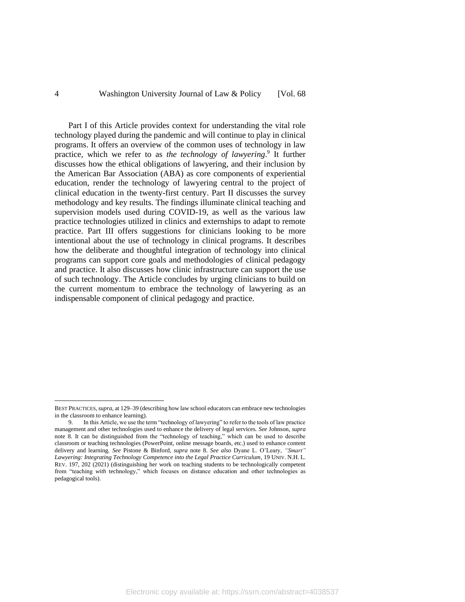Part I of this Article provides context for understanding the vital role technology played during the pandemic and will continue to play in clinical programs. It offers an overview of the common uses of technology in law practice, which we refer to as *the technology of lawyering*. 9 It further discusses how the ethical obligations of lawyering, and their inclusion by the American Bar Association (ABA) as core components of experiential education, render the technology of lawyering central to the project of clinical education in the twenty-first century. Part II discusses the survey methodology and key results. The findings illuminate clinical teaching and supervision models used during COVID-19, as well as the various law practice technologies utilized in clinics and externships to adapt to remote practice. Part III offers suggestions for clinicians looking to be more intentional about the use of technology in clinical programs. It describes how the deliberate and thoughtful integration of technology into clinical programs can support core goals and methodologies of clinical pedagogy and practice. It also discusses how clinic infrastructure can support the use of such technology. The Article concludes by urging clinicians to build on the current momentum to embrace the technology of lawyering as an indispensable component of clinical pedagogy and practice.

BEST PRACTICES,*supra*, at 129–39 (describing how law school educators can embrace new technologies in the classroom to enhance learning).

<sup>9.</sup> In this Article, we use the term "technology of lawyering" to refer to the tools of law practice management and other technologies used to enhance the delivery of legal services. *See* Johnson, *supra* note 8. It can be distinguished from the "technology of teaching," which can be used to describe classroom or teaching technologies (PowerPoint, online message boards, etc.) used to enhance content delivery and learning. *See* Pistone & Binford, *supra* note 8. *See also* Dyane L. O'Leary, *"Smart" Lawyering: Integrating Technology Competence into the Legal Practice Curriculum*, 19 UNIV. N.H. L. REV. 197, 202 (2021) (distinguishing her work on teaching students to be technologically competent from "teaching *with* technology," which focuses on distance education and other technologies as pedagogical tools).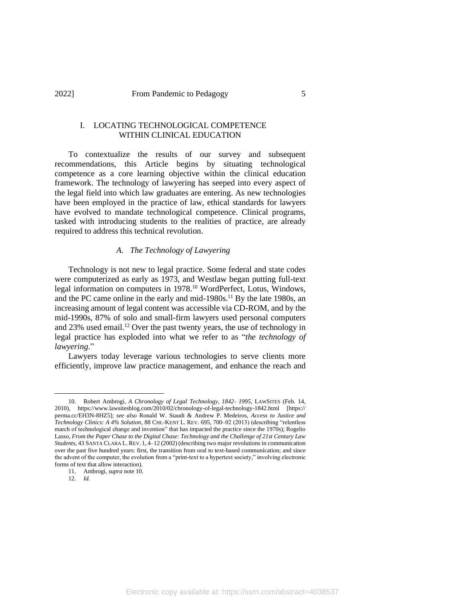## I. LOCATING TECHNOLOGICAL COMPETENCE WITHIN CLINICAL EDUCATION

To contextualize the results of our survey and subsequent recommendations, this Article begins by situating technological competence as a core learning objective within the clinical education framework. The technology of lawyering has seeped into every aspect of the legal field into which law graduates are entering. As new technologies have been employed in the practice of law, ethical standards for lawyers have evolved to mandate technological competence. Clinical programs, tasked with introducing students to the realities of practice, are already required to address this technical revolution.

### *A. The Technology of Lawyering*

Technology is not new to legal practice. Some federal and state codes were computerized as early as 1973, and Westlaw began putting full-text legal information on computers in 1978.<sup>10</sup> WordPerfect, Lotus, Windows, and the PC came online in the early and mid-1980s.<sup>11</sup> By the late 1980s, an increasing amount of legal content was accessible via CD-ROM, and by the mid-1990s, 87% of solo and small-firm lawyers used personal computers and  $23\%$  used email.<sup>12</sup> Over the past twenty years, the use of technology in legal practice has exploded into what we refer to as "*the technology of lawyering*."

Lawyers today leverage various technologies to serve clients more efficiently, improve law practice management, and enhance the reach and

<sup>10.</sup> Robert Ambrogi, *A Chronology of Legal Technology, 1842- 1995*, LAWSITES (Feb. 14, 2010), https://www.lawsitesblog.com/2010/02/chronology-of-legal-technology-1842.html [https:// perma.cc/EH3N-8HZ5]; *see also* Ronald W. Staudt & Andrew P. Medeiros, *Access to Justice and Technology Clinics: A 4% Solution*, 88 CHI.-KENT L. REV. 695, 700–02 (2013) (describing "relentless march of technological change and invention" that has impacted the practice since the 1970s); Rogelio Lasso, *From the Paper Chase to the Digital Chase: Technology and the Challenge of 21st Century Law Students*, 43 SANTA CLARA L. REV. 1, 4–12 (2002) (describing two major revolutions in communication over the past five hundred years: first, the transition from oral to text-based communication; and since the advent of the computer, the evolution from a "print-text to a hypertext society," involving electronic forms of text that allow interaction).

<sup>11.</sup> Ambrogi, *supra* note 10.

<sup>12.</sup> *Id.*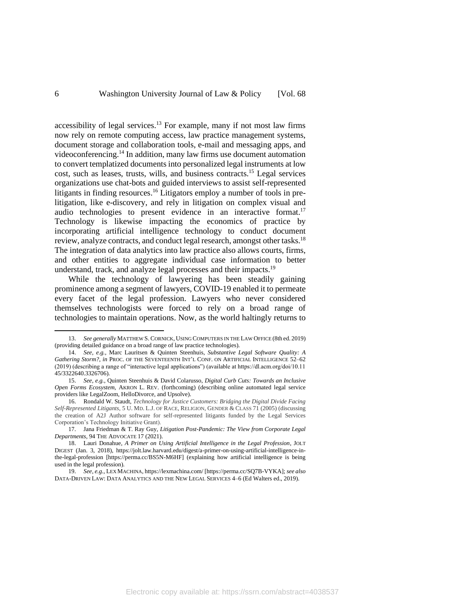accessibility of legal services.<sup>13</sup> For example, many if not most law firms now rely on remote computing access, law practice management systems, document storage and collaboration tools, e-mail and messaging apps, and videoconferencing. <sup>14</sup> In addition, many law firms use document automation to convert templatized documents into personalized legal instruments at low cost, such as leases, trusts, wills, and business contracts.<sup>15</sup> Legal services organizations use chat-bots and guided interviews to assist self-represented litigants in finding resources. <sup>16</sup> Litigators employ a number of tools in prelitigation, like e-discovery, and rely in litigation on complex visual and audio technologies to present evidence in an interactive format.<sup>17</sup> Technology is likewise impacting the economics of practice by incorporating artificial intelligence technology to conduct document review, analyze contracts, and conduct legal research, amongst other tasks.<sup>18</sup> The integration of data analytics into law practice also allows courts, firms, and other entities to aggregate individual case information to better understand, track, and analyze legal processes and their impacts.<sup>19</sup>

While the technology of lawyering has been steadily gaining prominence among a segment of lawyers, COVID-19 enabled it to permeate every facet of the legal profession. Lawyers who never considered themselves technologists were forced to rely on a broad range of technologies to maintain operations. Now, as the world haltingly returns to

<sup>13.</sup> *See generally* MATTHEW S. CORNICK, USING COMPUTERS IN THE LAW OFFICE (8th ed. 2019) (providing detailed guidance on a broad range of law practice technologies).

<sup>14.</sup> *See, e.g.*, Marc Lauritsen & Quinten Steenhuis, *Substantive Legal Software Quality: A Gathering Storm?*, *in* PROC. OF THE SEVENTEENTH INT'L CONF. ON ARTIFICIAL INTELLIGENCE 52–62 (2019) (describing a range of "interactive legal applications") (available at https://dl.acm.org/doi/10.11 45/3322640.3326706).

<sup>15.</sup> *See, e.g.*, Quinten Steenhuis & David Colarusso, *Digital Curb Cuts: Towards an Inclusive Open Forms Ecosystem*, AKRON L. REV. (forthcoming) (describing online automated legal service providers like LegalZoom, HelloDivorce, and Upsolve).

<sup>16.</sup> Rondald W. Staudt, *Technology for Justice Customers: Bridging the Digital Divide Facing Self-Represented Litigants*, 5 U. MD. L.J. OF RACE, RELIGION, GENDER & CLASS 71 (2005) (discussing the creation of A2J Author software for self-represented litigants funded by the Legal Services Corporation's Technology Initiative Grant).

<sup>17.</sup> Jana Friedman & T. Ray Guy, *Litigation Post-Pandemic: The View from Corporate Legal Departments*, 94 THE ADVOCATE 17 (2021).

<sup>18.</sup> Lauri Donahue, *A Primer on Using Artificial Intelligence in the Legal Profession*, JOLT DIGEST (Jan. 3, 2018), https://jolt.law.harvard.edu/digest/a-primer-on-using-artificial-intelligence-inthe-legal-profession [https://perma.cc/BS5N-M6HF] (explaining how artificial intelligence is being used in the legal profession).

<sup>19.</sup> *See, e.g.*, LEX MACHINA, https://lexmachina.com/ [https://perma.cc/SQ7B-VYKA]; *see also*  DATA-DRIVEN LAW: DATA ANALYTICS AND THE NEW LEGAL SERVICES 4–6 (Ed Walters ed., 2019).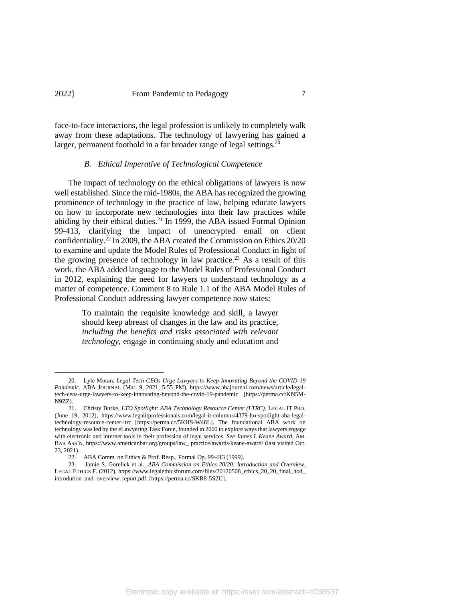## 2022] From Pandemic to Pedagogy 7

face-to-face interactions, the legal profession is unlikely to completely walk away from these adaptations. The technology of lawyering has gained a larger, permanent foothold in a far broader range of legal settings.<sup>20</sup>

#### *B. Ethical Imperative of Technological Competence*

The impact of technology on the ethical obligations of lawyers is now well established. Since the mid-1980s, the ABA has recognized the growing prominence of technology in the practice of law, helping educate lawyers on how to incorporate new technologies into their law practices while abiding by their ethical duties.<sup>21</sup> In 1999, the ABA issued Formal Opinion 99-413, clarifying the impact of unencrypted email on client confidentiality. <sup>22</sup> In 2009, the ABA created the Commission on Ethics 20/20 to examine and update the Model Rules of Professional Conduct in light of the growing presence of technology in law practice.<sup>23</sup> As a result of this work, the ABA added language to the Model Rules of Professional Conduct in 2012, explaining the need for lawyers to understand technology as a matter of competence. Comment 8 to Rule 1.1 of the ABA Model Rules of Professional Conduct addressing lawyer competence now states:

> To maintain the requisite knowledge and skill, a lawyer should keep abreast of changes in the law and its practice, *including the benefits and risks associated with relevant technology*, engage in continuing study and education and

<sup>20.</sup> Lyle Moran, *Legal Tech CEOs Urge Lawyers to Keep Innovating Beyond the COVID-19 Pandemic*, ABA JOURNAL (Mar. 9, 2021, 5:55 PM), https://www.abajournal.com/news/article/legaltech-ceos-urge-lawyers-to-keep-innovating-beyond-the-covid-19-pandemic [https://perma.cc/KN5M-N9ZZ].

<sup>21.</sup> Christy Burke, *LTO Spotlight: ABA Technology Resource Center (LTRC)*, LEGAL IT PRO. (June 19, 2012), https://www.legalitprofessionals.com/legal-it-columns/4379-lto-spotlight-aba-legaltechnology-resource-center-ltrc [https://perma.cc/5KHS-W48L]. The foundational ABA work on technology was led by the eLawyering Task Force, founded in 2000 to explore ways that lawyers engage with electronic and internet tools in their profession of legal services. *See James I. Keane Award*, AM. BAR ASS'N, https://www.americanbar.org/groups/law\_ practice/awards/keane-award/ (last visited Oct. 23, 2021)*.*

<sup>22.</sup> ABA Comm. on Ethics & Prof. Resp., Formal Op. 99-413 (1999).

<sup>23.</sup> Jamie S. Gorelick et al., *ABA Commission on Ethics 20/20: Introduction and Overview*, LEGAL ETHICS F. (2012), https://www.legalethicsforum.com/files/20120508\_ethics\_20\_20\_final\_hod\_ introdution\_and\_overview\_report.pdf. [https://perma.cc/SKR8-5S2U].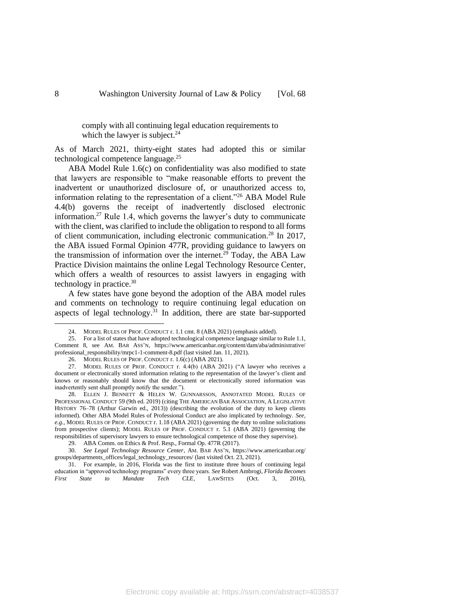comply with all continuing legal education requirements to which the lawyer is subject. $^{24}$ 

As of March 2021, thirty-eight states had adopted this or similar technological competence language.<sup>25</sup>

ABA Model Rule 1.6(c) on confidentiality was also modified to state that lawyers are responsible to "make reasonable efforts to prevent the inadvertent or unauthorized disclosure of, or unauthorized access to, information relating to the representation of a client."<sup>26</sup> ABA Model Rule 4.4(b) governs the receipt of inadvertently disclosed electronic information.<sup>27</sup> Rule 1.4, which governs the lawyer's duty to communicate with the client, was clarified to include the obligation to respond to all forms of client communication, including electronic communication.<sup>28</sup> In 2017, the ABA issued Formal Opinion 477R, providing guidance to lawyers on the transmission of information over the internet.<sup>29</sup> Today, the ABA Law Practice Division maintains the online Legal Technology Resource Center, which offers a wealth of resources to assist lawyers in engaging with technology in practice.<sup>30</sup>

A few states have gone beyond the adoption of the ABA model rules and comments on technology to require continuing legal education on aspects of legal technology.<sup>31</sup> In addition, there are state bar-supported

31. For example, in 2016, Florida was the first to institute three hours of continuing legal education in "approved technology programs" every three years. *See* Robert Ambrogi, *Florida Becomes First State to Mandate Tech CLE*, LAWSITES (Oct. 3, 2016),

<sup>24.</sup> MODEL RULES OF PROF. CONDUCT r. 1.1 cmt. 8 (ABA 2021) (emphasis added).

<sup>25.</sup> For a list of states that have adopted technological competence language similar to Rule 1.1, Comment 8, see AM. BAR ASS'N, https://www.americanbar.org/content/dam/aba/administrative/ professional\_responsibility/mrpc1-1-comment-8.pdf (last visited Jan. 11, 2021).

<sup>26.</sup> MODEL RULES OF PROF. CONDUCT r. 1.6(c) (ABA 2021).

<sup>27.</sup> MODEL RULES OF PROF. CONDUCT r. 4.4(b) (ABA 2021) ("A lawyer who receives a document or electronically stored information relating to the representation of the lawyer's client and knows or reasonably should know that the document or electronically stored information was inadvertently sent shall promptly notify the sender.").

<sup>28.</sup> ELLEN J. BENNETT & HELEN W. GUNNARSSON, ANNOTATED MODEL RULES OF PROFESSIONAL CONDUCT 59 (9th ed. 2019) (citing THE AMERICAN BAR ASSOCIATION, A LEGISLATIVE HISTORY 76–78 (Arthur Garwin ed., 2013)) (describing the evolution of the duty to keep clients informed). Other ABA Model Rules of Professional Conduct are also implicated by technology. *See, e.g.*, MODEL RULES OF PROF. CONDUCT r. 1.18 (ABA 2021) (governing the duty to online solicitations from prospective clients); MODEL RULES OF PROF. CONDUCT r. 5.1 (ABA 2021) (governing the responsibilities of supervisory lawyers to ensure technological competence of those they supervise).

<sup>29.</sup> ABA Comm. on Ethics & Prof. Resp., Formal Op. 477R (2017).

<sup>30.</sup> *See Legal Technology Resource Center*, AM. BAR ASS'N, https://www.americanbar.org/ groups/departments\_offices/legal\_technology\_resources/ (last visited Oct. 23, 2021).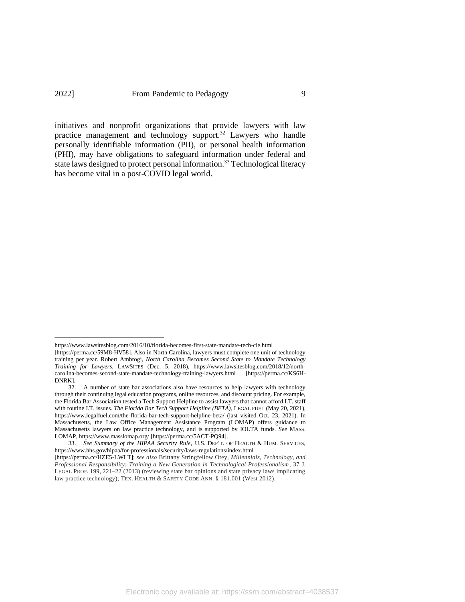<span id="page-8-0"></span>initiatives and nonprofit organizations that provide lawyers with law practice management and technology support.<sup>32</sup> Lawyers who handle personally identifiable information (PII), or personal health information (PHI), may have obligations to safeguard information under federal and state laws designed to protect personal information.<sup>33</sup> Technological literacy has become vital in a post-COVID legal world.

https://www.lawsitesblog.com/2016/10/florida-becomes-first-state-mandate-tech-cle.html

<sup>[</sup>https://perma.cc/59M8-HV58]. Also in North Carolina, lawyers must complete one unit of technology training per year. Robert Ambrogi, *North Carolina Becomes Second State to Mandate Technology Training for Lawyers*, LAWSITES (Dec. 5, 2018), https://www.lawsitesblog.com/2018/12/northcarolina-becomes-second-state-mandate-technology-training-lawyers.html [https://perma.cc/KS6H-DNRK].

<sup>32.</sup> A number of state bar associations also have resources to help lawyers with technology through their continuing legal education programs, online resources, and discount pricing. For example, the Florida Bar Association tested a Tech Support Helpline to assist lawyers that cannot afford I.T. staff with routine I.T. issues. *The Florida Bar Tech Support Helpline (BETA)*, LEGAL FUEL (May 20, 2021), https://www.legalfuel.com/the-florida-bar-tech-support-helpline-beta/ (last visited Oct. 23, 2021). In Massachusetts, the Law Office Management Assistance Program (LOMAP) offers guidance to Massachusetts lawyers on law practice technology, and is supported by IOLTA funds. *See* MASS. LOMAP, https://www.masslomap.org/ [https://perma.cc/5ACT-PQ94].

<sup>33.</sup> *See Summary of the HIPAA Security Rule*, U.S. DEP'T. OF HEALTH & HUM. SERVICES, https://www.hhs.gov/hipaa/for-professionals/security/laws-regulations/index.html

<sup>[</sup>https://perma.cc/HZE5-LWLT]; *see also* Brittany Stringfellow Otey, *Millennials, Technology, and Professional Responsibility: Training a New Generation in Technological Professionalism*, 37 J. LEGAL PROF. 199, 221**–**22 (2013) (reviewing state bar opinions and state privacy laws implicating law practice technology); TEX. HEALTH & SAFETY CODE ANN. § 181.001 (West 2012).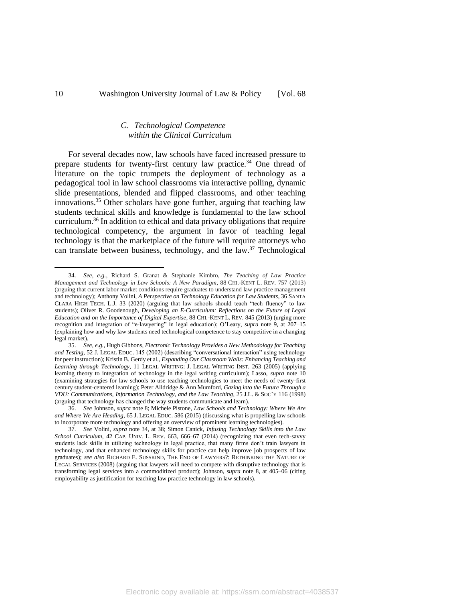## <span id="page-9-0"></span>*C. Technological Competence within the Clinical Curriculum*

For several decades now, law schools have faced increased pressure to prepare students for twenty-first century law practice.<sup>34</sup> One thread of literature on the topic trumpets the deployment of technology as a pedagogical tool in law school classrooms via interactive polling, dynamic slide presentations, blended and flipped classrooms, and other teaching innovations. <sup>35</sup> Other scholars have gone further, arguing that teaching law students technical skills and knowledge is fundamental to the law school curriculum.<sup>36</sup> In addition to ethical and data privacy obligations that require technological competency, the argument in favor of teaching legal technology is that the marketplace of the future will require attorneys who can translate between business, technology, and the law. <sup>37</sup> Technological

<sup>34.</sup> *See, e.g.*, Richard S. Granat & Stephanie Kimbro, *The Teaching of Law Practice Management and Technology in Law Schools: A New Paradigm*, 88 CHI.-KENT L. REV. 757 (2013) (arguing that current labor market conditions require graduates to understand law practice management and technology); Anthony Volini, *A Perspective on Technology Education for Law Students*, 36 SANTA CLARA HIGH TECH. L.J. 33 (2020) (arguing that law schools should teach "tech fluency" to law students); Oliver R. Goodenough, *Developing an E-Curriculum: Reflections on the Future of Legal Education and on the Importance of Digital Expertise*, 88 CHI.-KENT L. REV. 845 (2013) (urging more recognition and integration of "e-lawyering" in legal education); O'Leary, *supra* note 9, at 207–15 (explaining how and why law students need technological competence to stay competitive in a changing legal market).

<sup>35.</sup> *See, e.g.*, Hugh Gibbons, *Electronic Technology Provides a New Methodology for Teaching and Testing*, 52 J. LEGAL EDUC. 145 (2002) (describing "conversational interaction" using technology for peer instruction); Kristin B. Gerdy et al., *Expanding Our Classroom Walls: Enhancing Teaching and Learning through Technology*, 11 LEGAL WRITING: J. LEGAL WRITING INST. 263 (2005) (applying learning theory to integration of technology in the legal writing curriculum); Lasso, *supra* note 10 (examining strategies for law schools to use teaching technologies to meet the needs of twenty-first century student-centered learning); Peter Alldridge & Ann Mumford, *Gazing into the Future Through a VDU: Communications, Information Technology, and the Law Teaching*, 25 J.L. & SOC'Y 116 (1998) (arguing that technology has changed the way students communicate and learn).

<sup>36.</sup> *See* Johnson, *supra* note 8; Michele Pistone, *Law Schools and Technology: Where We Are and Where We Are Heading*, 65 J. LEGAL EDUC. 586 (2015) (discussing what is propelling law schools to incorporate more technology and offering an overview of prominent learning technologies).

<sup>37.</sup> *See* Volini, *supra* note 34, at 38; Simon Canick, *Infusing Technology Skills into the Law School Curriculum*, 42 CAP. UNIV. L. REV. 663, 666–67 (2014) (recognizing that even tech-savvy students lack skills in utilizing technology in legal practice, that many firms don't train lawyers in technology, and that enhanced technology skills for practice can help improve job prospects of law graduates); *see also* RICHARD E. SUSSKIND, THE END OF LAWYERS?: RETHINKING THE NATURE OF LEGAL SERVICES (2008) (arguing that lawyers will need to compete with disruptive technology that is transforming legal services into a commoditized product); Johnson, *supra* note 8, at 405–06 (citing employability as justification for teaching law practice technology in law schools).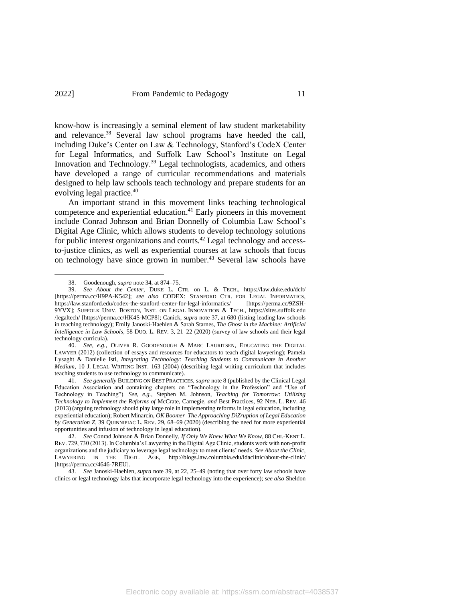<span id="page-10-0"></span>know-how is increasingly a seminal element of law student marketability and relevance.<sup>38</sup> Several law school programs have heeded the call, including Duke's Center on Law & Technology, Stanford's CodeX Center for Legal Informatics, and Suffolk Law School's Institute on Legal Innovation and Technology.<sup>39</sup> Legal technologists, academics, and others have developed a range of curricular recommendations and materials designed to help law schools teach technology and prepare students for an evolving legal practice.<sup>40</sup>

An important strand in this movement links teaching technological competence and experiential education.<sup>41</sup> Early pioneers in this movement include Conrad Johnson and Brian Donnelly of Columbia Law School's Digital Age Clinic, which allows students to develop technology solutions for public interest organizations and courts.<sup>42</sup> Legal technology and accessto-justice clinics, as well as experiential courses at law schools that focus on technology have since grown in number. <sup>43</sup> Several law schools have

40. *See, e.g.*, OLIVER R. GOODENOUGH & MARC LAURITSEN, EDUCATING THE DIGITAL LAWYER (2012) (collection of essays and resources for educators to teach digital lawyering); Pamela Lysaght & Danielle Istl, *Integrating Technology: Teaching Students to Communicate in Another Medium*, 10 J. LEGAL WRITING INST. 163 (2004) (describing legal writing curriculum that includes teaching students to use technology to communicate).

41. *See generally* BUILDING ON BEST PRACTICES, *supra* note 8 (published by the Clinical Legal Education Association and containing chapters on "Technology in the Profession" and "Use of Technology in Teaching"). *See, e.g.*, Stephen M. Johnson, *Teaching for Tomorrow: Utilizing Technology to Implement the Reforms of* McCrate*,* Carnegie*, and* Best Practices, 92 NEB. L. REV. 46 (2013) (arguing technology should play large role in implementing reforms in legal education, including experiential education); Robert Minarcin, *OK Boomer*–*The Approaching DiZruption of Legal Education by Generation Z*, 39 QUINNIPIAC L. REV. 29, 68–69 (2020) (describing the need for more experiential opportunities and infusion of technology in legal education).

<sup>38.</sup> Goodenough, *supra* note 34, at 874–75.

<sup>39.</sup> *See About the Center*, DUKE L. CTR. on L. & TECH., https://law.duke.edu/dclt/ [https://perma.cc/H9PA-K542]; *see also* CODEX: STANFORD CTR. FOR LEGAL INFORMATICS, https://law.stanford.edu/codex-the-stanford-center-for-legal-informatics/ [https://perma.cc/9ZSH-9YVX]; SUFFOLK UNIV. BOSTON, INST. ON LEGAL INNOVATION & TECH., https://sites.suffolk.edu /legaltech/ [https://perma.cc/HK4S-MCP8]; Canick, *supra* not[e 37,](#page-9-0) at 680 (listing leading law schools in teaching technology); Emily Janoski-Haehlen & Sarah Starnes, *The Ghost in the Machine: Artificial Intelligence in Law Schools*, 58 DUQ. L. REV. 3, 21–22 (2020) (survey of law schools and their legal technology curricula).

<sup>42.</sup> *See* Conrad Johnson & Brian Donnelly, *If Only We Knew What We Know*, 88 CHI.-KENT L. REV. 729, 730 (2013). In Columbia's Lawyering in the Digital Age Clinic, students work with non-profit organizations and the judiciary to leverage legal technology to meet clients' needs. *See About the Clinic*, LAWYERING IN THE DIGIT. AGE, http://blogs.law.columbia.edu/ldaclinic/about-the-clinic/ [https://perma.cc/4646-7REU].

<sup>43.</sup> *See* Janoski-Haehlen, *supra* note [39,](#page-10-0) at 22, 25–49 (noting that over forty law schools have clinics or legal technology labs that incorporate legal technology into the experience); *see also* Sheldon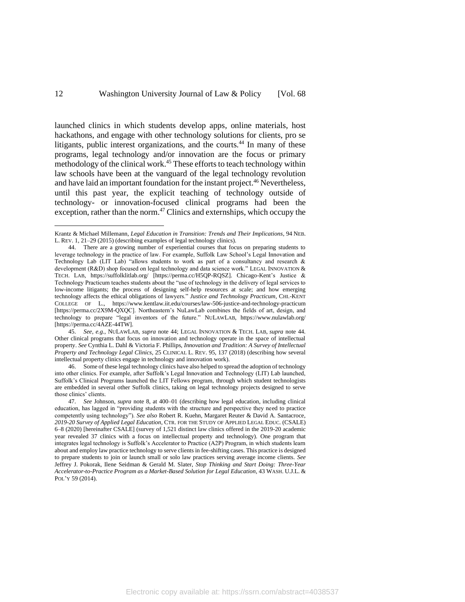<span id="page-11-0"></span>launched clinics in which students develop apps, online materials, host hackathons, and engage with other technology solutions for clients, pro se litigants, public interest organizations, and the courts.<sup>44</sup> In many of these programs, legal technology and/or innovation are the focus or primary methodology of the clinical work.<sup>45</sup> These efforts to teach technology within law schools have been at the vanguard of the legal technology revolution and have laid an important foundation for the instant project. <sup>46</sup> Nevertheless, until this past year, the explicit teaching of technology outside of technology- or innovation-focused clinical programs had been the exception, rather than the norm. $47$  Clinics and externships, which occupy the

46. Some of these legal technology clinics have also helped to spread the adoption of technology into other clinics. For example, after Suffolk's Legal Innovation and Technology (LIT) Lab launched, Suffolk's Clinical Programs launched the LIT Fellows program, through which student technologists are embedded in several other Suffolk clinics, taking on legal technology projects designed to serve those clinics' clients.

<span id="page-11-1"></span>Krantz & Michael Millemann, *Legal Education in Transition: Trends and Their Implications*, 94 NEB. L. REV. 1, 21–29 (2015) (describing examples of legal technology clinics).

<sup>44.</sup> There are a growing number of experiential courses that focus on preparing students to leverage technology in the practice of law. For example, Suffolk Law School's Legal Innovation and Technology Lab (LIT Lab) "allows students to work as part of a consultancy and research & development (R&D) shop focused on legal technology and data science work." LEGAL INNOVATION & TECH. LAB, https://suffolklitlab.org/ [https://perma.cc/H5QP-RQSZ]. Chicago-Kent's Justice & Technology Practicum teaches students about the "use of technology in the delivery of legal services to low-income litigants; the process of designing self-help resources at scale; and how emerging technology affects the ethical obligations of lawyers." *Justice and Technology Practicum*, CHI.-KENT COLLEGE OF L., https://www.kentlaw.iit.edu/courses/law-506-justice-and-technology-practicum [https://perma.cc/2X9M-QXQC]. Northeastern's NuLawLab combines the fields of art, design, and technology to prepare "legal inventors of the future." NULAWLAB, https://www.nulawlab.org/ [https://perma.cc/4AZE-44TW].

<sup>45.</sup> *See, e.g.*, NULAWLAB, *supra* not[e 44;](#page-11-0) LEGAL INNOVATION & TECH. LAB, *supra* note 44. Other clinical programs that focus on innovation and technology operate in the space of intellectual property. *See* Cynthia L. Dahl & Victoria F. Phillips, *Innovation and Tradition: A Survey of Intellectual Property and Technology Legal Clinics*, 25 CLINICAL L. REV. 95, 137 (2018) (describing how several intellectual property clinics engage in technology and innovation work).

<sup>47.</sup> *See* Johnson, *supra* note 8, at 400–01 (describing how legal education, including clinical education, has lagged in "providing students with the structure and perspective they need to practice competently using technology"). *See also* Robert R. Kuehn, Margaret Reuter & David A. Santacroce, *2019-20 Survey of Applied Legal Education*, CTR. FOR THE STUDY OF APPLIED LEGAL EDUC. (CSALE) 6–8 (2020) [hereinafter CSALE] (survey of 1,521 distinct law clinics offered in the 2019-20 academic year revealed 37 clinics with a focus on intellectual property and technology). One program that integrates legal technology is Suffolk's Accelerator to Practice (A2P) Program, in which students learn about and employ law practice technology to serve clients in fee-shifting cases. This practice is designed to prepare students to join or launch small or solo law practices serving average income clients. *See*  Jeffrey J. Pokorak, Ilene Seidman & Gerald M. Slater, *Stop Thinking and Start Doing: Three-Year Accelerator-to-Practice Program as a Market-Based Solution for Legal Education*, 43 WASH. U.J.L. & POL'Y 59 (2014).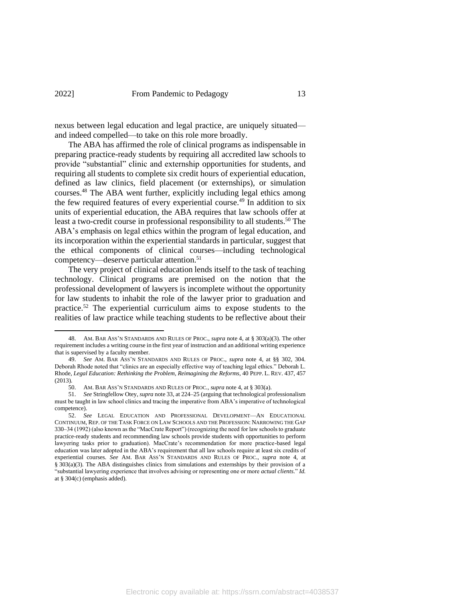nexus between legal education and legal practice, are uniquely situated and indeed compelled—to take on this role more broadly.

The ABA has affirmed the role of clinical programs as indispensable in preparing practice-ready students by requiring all accredited law schools to provide "substantial" clinic and externship opportunities for students, and requiring all students to complete six credit hours of experiential education, defined as law clinics, field placement (or externships), or simulation courses. <sup>48</sup> The ABA went further, explicitly including legal ethics among the few required features of every experiential course.<sup>49</sup> In addition to six units of experiential education, the ABA requires that law schools offer at least a two-credit course in professional responsibility to all students. <sup>50</sup> The ABA's emphasis on legal ethics within the program of legal education, and its incorporation within the experiential standards in particular, suggest that the ethical components of clinical courses—including technological competency—deserve particular attention.<sup>51</sup>

The very project of clinical education lends itself to the task of teaching technology. Clinical programs are premised on the notion that the professional development of lawyers is incomplete without the opportunity for law students to inhabit the role of the lawyer prior to graduation and practice.<sup>52</sup> The experiential curriculum aims to expose students to the realities of law practice while teaching students to be reflective about their

<sup>48.</sup> AM. BAR ASS'N STANDARDS AND RULES OF PROC., *supra* note [4,](#page-1-0) at § 303(a)(3). The other requirement includes a writing course in the first year of instruction and an additional writing experience that is supervised by a faculty member.

<sup>49.</sup> *See* AM. BAR ASS'N STANDARDS AND RULES OF PROC., *supra* note [4,](#page-1-0) at §§ 302, 304. Deborah Rhode noted that "clinics are an especially effective way of teaching legal ethics." Deborah L. Rhode, *Legal Education: Rethinking the Problem, Reimagining the Reforms*, 40 PEPP. L. REV. 437, 457 (2013).

<sup>50.</sup> AM. BAR ASS'N STANDARDS AND RULES OF PROC., *supra* not[e 4,](#page-1-0) at § 303(a).

<sup>51.</sup> *See* Stringfellow Otey, *supra* not[e 33,](#page-8-0) at 224–25 (arguing that technological professionalism must be taught in law school clinics and tracing the imperative from ABA's imperative of technological competence).

<sup>52.</sup> *See* LEGAL EDUCATION AND PROFESSIONAL DEVELOPMENT—AN EDUCATIONAL CONTINUUM, REP. OF THE TASK FORCE ON LAW SCHOOLS AND THE PROFESSION: NARROWING THE GAP 330–34 (1992) (also known as the "MacCrate Report") (recognizing the need for law schools to graduate practice-ready students and recommending law schools provide students with opportunities to perform lawyering tasks prior to graduation). MacCrate's recommendation for more practice-based legal education was later adopted in the ABA's requirement that all law schools require at least six credits of experiential courses. *See* AM. BAR ASS'N STANDARDS AND RULES OF PROC., *supra* note 4, at § 303(a)(3). The ABA distinguishes clinics from simulations and externships by their provision of a "substantial lawyering experience that involves advising or representing one or more *actual clients*." *Id.*  at § 304(c) (emphasis added).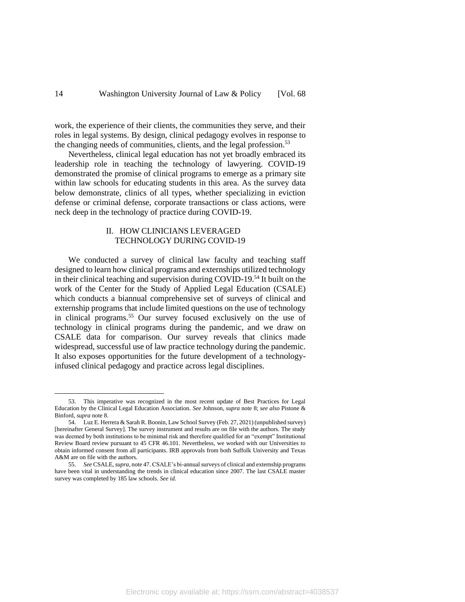work, the experience of their clients, the communities they serve, and their roles in legal systems. By design, clinical pedagogy evolves in response to the changing needs of communities, clients, and the legal profession.<sup>53</sup>

Nevertheless, clinical legal education has not yet broadly embraced its leadership role in teaching the technology of lawyering. COVID-19 demonstrated the promise of clinical programs to emerge as a primary site within law schools for educating students in this area. As the survey data below demonstrate, clinics of all types, whether specializing in eviction defense or criminal defense, corporate transactions or class actions, were neck deep in the technology of practice during COVID-19.

## <span id="page-13-1"></span><span id="page-13-0"></span>II. HOW CLINICIANS LEVERAGED TECHNOLOGY DURING COVID-19

We conducted a survey of clinical law faculty and teaching staff designed to learn how clinical programs and externships utilized technology in their clinical teaching and supervision during COVID-19.<sup>54</sup> It built on the work of the Center for the Study of Applied Legal Education (CSALE) which conducts a biannual comprehensive set of surveys of clinical and externship programs that include limited questions on the use of technology in clinical programs.<sup>55</sup> Our survey focused exclusively on the use of technology in clinical programs during the pandemic, and we draw on CSALE data for comparison. Our survey reveals that clinics made widespread, successful use of law practice technology during the pandemic. It also exposes opportunities for the future development of a technologyinfused clinical pedagogy and practice across legal disciplines.

<sup>53.</sup> This imperative was recognized in the most recent update of Best Practices for Legal Education by the Clinical Legal Education Association. *See* Johnson, *supra* note 8; *see also* Pistone & Binford, *supra* note 8.

<sup>54.</sup> Luz E. Herrera & Sarah R. Boonin, Law School Survey (Feb. 27, 2021) (unpublished survey) [hereinafter General Survey]. The survey instrument and results are on file with the authors. The study was deemed by both institutions to be minimal risk and therefore qualified for an "exempt" Institutional Review Board review pursuant to 45 CFR 46.101. Nevertheless, we worked with our Universities to obtain informed consent from all participants. IRB approvals from both Suffolk University and Texas A&M are on file with the authors.

<sup>55.</sup> *See* CSALE, *supra*, note 47. CSALE's bi-annual surveys of clinical and externship programs have been vital in understanding the trends in clinical education since 2007. The last CSALE master survey was completed by 185 law schools. *See id.*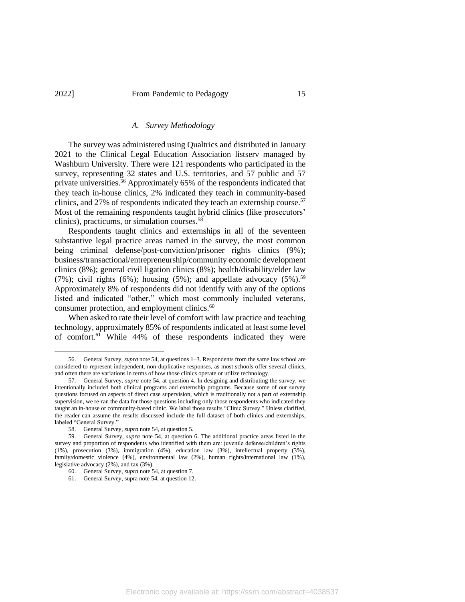#### *A. Survey Methodology*

The survey was administered using Qualtrics and distributed in January 2021 to the Clinical Legal Education Association listserv managed by Washburn University. There were 121 respondents who participated in the survey, representing 32 states and U.S. territories, and 57 public and 57 private universities. <sup>56</sup> Approximately 65% of the respondents indicated that they teach in-house clinics, 2% indicated they teach in community-based clinics, and 27% of respondents indicated they teach an externship course.<sup>57</sup> Most of the remaining respondents taught hybrid clinics (like prosecutors' clinics), practicums, or simulation courses.<sup>58</sup>

Respondents taught clinics and externships in all of the seventeen substantive legal practice areas named in the survey, the most common being criminal defense/post-conviction/prisoner rights clinics (9%); business/transactional/entrepreneurship/community economic development clinics (8%); general civil ligation clinics (8%); health/disability/elder law (7%); civil rights (6%); housing (5%); and appellate advocacy (5%).<sup>59</sup> Approximately 8% of respondents did not identify with any of the options listed and indicated "other," which most commonly included veterans, consumer protection, and employment clinics.<sup>60</sup>

When asked to rate their level of comfort with law practice and teaching technology, approximately 85% of respondents indicated at least some level of comfort.<sup>61</sup> While 44% of these respondents indicated they were

<sup>56.</sup> General Survey, *supra* not[e 54,](#page-13-0) at questions 1–3. Respondents from the same law school are considered to represent independent, non-duplicative responses, as most schools offer several clinics, and often there are variations in terms of how those clinics operate or utilize technology.

<sup>57.</sup> General Survey, *supra* not[e 54,](#page-13-0) at question 4. In designing and distributing the survey, we intentionally included both clinical programs and externship programs. Because some of our survey questions focused on aspects of direct case supervision, which is traditionally not a part of externship supervision, we re-ran the data for those questions including only those respondents who indicated they taught an in-house or community-based clinic. We label those results "Clinic Survey." Unless clarified, the reader can assume the results discussed include the full dataset of both clinics and externships, labeled "General Survey."

<sup>58.</sup> General Survey, *supra* not[e 54,](#page-13-0) at question 5.

<sup>59.</sup> General Survey, *supra* note [54,](#page-13-0) at question 6. The additional practice areas listed in the survey and proportion of respondents who identified with them are: juvenile defense/children's rights (1%), prosecution (3%), immigration (4%), education law (3%), intellectual property (3%), family/domestic violence (4%), environmental law (2%), human rights/international law (1%), legislative advocacy (2%), and tax (3%).

<sup>60.</sup> General Survey, *supra* not[e 54,](#page-13-0) at question 7.

<sup>61.</sup> General Survey, supra not[e 54,](#page-13-0) at question 12.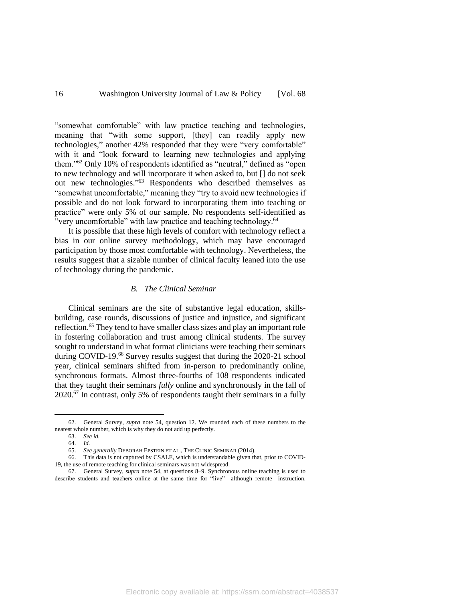"somewhat comfortable" with law practice teaching and technologies, meaning that "with some support, [they] can readily apply new technologies," another 42% responded that they were "very comfortable" with it and "look forward to learning new technologies and applying them."<sup>62</sup> Only 10% of respondents identified as "neutral," defined as "open to new technology and will incorporate it when asked to, but [] do not seek out new technologies." <sup>63</sup> Respondents who described themselves as "somewhat uncomfortable," meaning they "try to avoid new technologies if possible and do not look forward to incorporating them into teaching or practice" were only 5% of our sample. No respondents self-identified as "very uncomfortable" with law practice and teaching technology.<sup>64</sup>

It is possible that these high levels of comfort with technology reflect a bias in our online survey methodology, which may have encouraged participation by those most comfortable with technology. Nevertheless, the results suggest that a sizable number of clinical faculty leaned into the use of technology during the pandemic.

#### *B. The Clinical Seminar*

Clinical seminars are the site of substantive legal education, skillsbuilding, case rounds, discussions of justice and injustice, and significant reflection.<sup>65</sup> They tend to have smaller class sizes and play an important role in fostering collaboration and trust among clinical students. The survey sought to understand in what format clinicians were teaching their seminars during COVID-19.<sup>66</sup> Survey results suggest that during the 2020-21 school year, clinical seminars shifted from in-person to predominantly online, synchronous formats. Almost three-fourths of 108 respondents indicated that they taught their seminars *fully* online and synchronously in the fall of 2020.<sup>67</sup> In contrast, only 5% of respondents taught their seminars in a fully

<sup>62.</sup> General Survey, *supra* note 54, question 12. We rounded each of these numbers to the nearest whole number, which is why they do not add up perfectly.

<sup>63.</sup> *See id.*

<sup>64.</sup> *Id.*

<sup>65.</sup> *See generally* DEBORAH EPSTEIN ET AL., THE CLINIC SEMINAR (2014).

<sup>66.</sup> This data is not captured by CSALE, which is understandable given that, prior to COVID-19, the use of remote teaching for clinical seminars was not widespread.

<sup>67.</sup> General Survey, *supra* note [54,](#page-13-0) at questions 8–9. Synchronous online teaching is used to describe students and teachers online at the same time for "live"—although remote—instruction.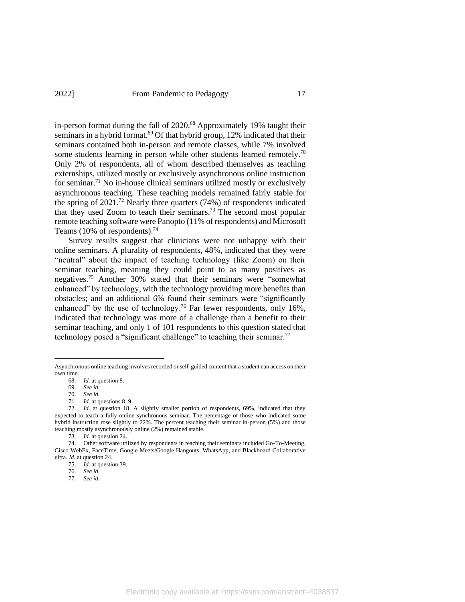in-person format during the fall of 2020.<sup>68</sup> Approximately 19% taught their seminars in a hybrid format.<sup>69</sup> Of that hybrid group, 12% indicated that their seminars contained both in-person and remote classes, while 7% involved some students learning in person while other students learned remotely.<sup>70</sup> Only 2% of respondents, all of whom described themselves as teaching externships, utilized mostly or exclusively asynchronous online instruction for seminar.<sup>71</sup> No in-house clinical seminars utilized mostly or exclusively asynchronous teaching. These teaching models remained fairly stable for the spring of 2021.<sup>72</sup> Nearly three quarters (74%) of respondents indicated that they used Zoom to teach their seminars. <sup>73</sup> The second most popular remote teaching software were Panopto (11% of respondents) and Microsoft Teams (10% of respondents).<sup>74</sup>

Survey results suggest that clinicians were not unhappy with their online seminars. A plurality of respondents, 48%, indicated that they were "neutral" about the impact of teaching technology (like Zoom) on their seminar teaching, meaning they could point to as many positives as negatives.<sup>75</sup> Another 30% stated that their seminars were "somewhat enhanced" by technology, with the technology providing more benefits than obstacles; and an additional 6% found their seminars were "significantly enhanced" by the use of technology.<sup>76</sup> Far fewer respondents, only 16%, indicated that technology was more of a challenge than a benefit to their seminar teaching, and only 1 of 101 respondents to this question stated that technology posed a "significant challenge" to teaching their seminar.<sup>77</sup>

Asynchronous online teaching involves recorded or self-guided content that a student can access on their own time.

<sup>68.</sup> *Id.* at question 8.

<sup>69.</sup> *See id.*

<sup>70.</sup> *See id.*

<sup>71.</sup> *Id.* at questions 8–9.

<sup>72.</sup> *Id.* at question 18. A slightly smaller portion of respondents, 69%, indicated that they expected to teach a fully online synchronous seminar. The percentage of those who indicated some hybrid instruction rose slightly to 22%. The percent teaching their seminar in-person (5%) and those teaching mostly asynchronously online (2%) remained stable.

<sup>73.</sup> *Id.* at question 24.

<sup>74.</sup> Other software utilized by respondents in teaching their seminars included Go-To-Meeting, Cisco WebEx, FaceTime, Google Meets/Google Hangouts, WhatsApp, and Blackboard Collaborative ultra. *Id.* at question 24.

<sup>75.</sup> *Id.* at question 39.

<sup>76.</sup> *See id.*

<sup>77.</sup> *See id.*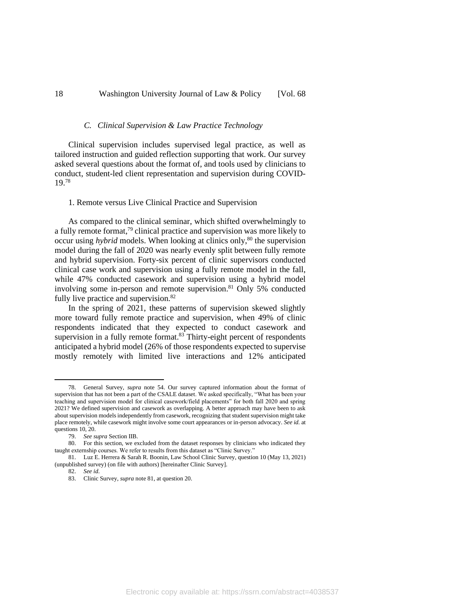#### *C. Clinical Supervision & Law Practice Technology*

Clinical supervision includes supervised legal practice, as well as tailored instruction and guided reflection supporting that work. Our survey asked several questions about the format of, and tools used by clinicians to conduct, student-led client representation and supervision during COVID-19. 78

#### 1. Remote versus Live Clinical Practice and Supervision

As compared to the clinical seminar, which shifted overwhelmingly to a fully remote format,<sup>79</sup> clinical practice and supervision was more likely to occur using *hybrid* models. When looking at clinics only,<sup>80</sup> the supervision model during the fall of 2020 was nearly evenly split between fully remote and hybrid supervision. Forty-six percent of clinic supervisors conducted clinical case work and supervision using a fully remote model in the fall, while 47% conducted casework and supervision using a hybrid model involving some in-person and remote supervision. <sup>81</sup> Only 5% conducted fully live practice and supervision.<sup>82</sup>

<span id="page-17-0"></span>In the spring of 2021, these patterns of supervision skewed slightly more toward fully remote practice and supervision, when 49% of clinic respondents indicated that they expected to conduct casework and supervision in a fully remote format.<sup>83</sup> Thirty-eight percent of respondents anticipated a hybrid model (26% of those respondents expected to supervise mostly remotely with limited live interactions and 12% anticipated

<sup>78.</sup> General Survey, *supra* note [54.](#page-13-0) Our survey captured information about the format of supervision that has not been a part of the CSALE dataset. We asked specifically, "What has been your teaching and supervision model for clinical casework/field placements" for both fall 2020 and spring 2021? We defined supervision and casework as overlapping. A better approach may have been to ask about supervision models independently from casework, recognizing that student supervision might take place remotely, while casework might involve some court appearances or in-person advocacy. *See id.* at questions 10, 20.

<sup>79.</sup> *See supra* Section IIB.

<sup>80.</sup> For this section, we excluded from the dataset responses by clinicians who indicated they taught externship courses. We refer to results from this dataset as "Clinic Survey."

<sup>81.</sup> Luz E. Herrera & Sarah R. Boonin, Law School Clinic Survey, question 10 (May 13, 2021) (unpublished survey) (on file with authors) [hereinafter Clinic Survey].

<sup>82.</sup> *See id*.

<sup>83.</sup> Clinic Survey, *supra* note 81, at question 20.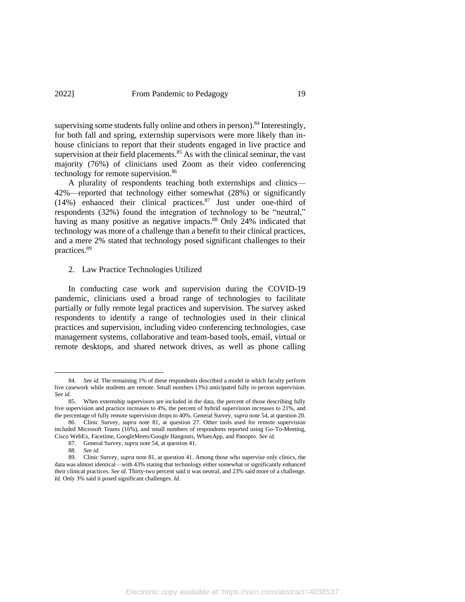supervising some students fully online and others in person).<sup>84</sup> Interestingly, for both fall and spring, externship supervisors were more likely than inhouse clinicians to report that their students engaged in live practice and supervision at their field placements.<sup>85</sup> As with the clinical seminar, the vast majority (76%) of clinicians used Zoom as their video conferencing technology for remote supervision.<sup>86</sup>

A plurality of respondents teaching both externships and clinics— 42%—reported that technology either somewhat (28%) or significantly (14%) enhanced their clinical practices. <sup>87</sup> Just under one-third of respondents (32%) found the integration of technology to be "neutral," having as many positive as negative impacts.<sup>88</sup> Only 24% indicated that technology was more of a challenge than a benefit to their clinical practices, and a mere 2% stated that technology posed significant challenges to their practices.<sup>89</sup>

2. Law Practice Technologies Utilized

In conducting case work and supervision during the COVID-19 pandemic, clinicians used a broad range of technologies to facilitate partially or fully remote legal practices and supervision. The survey asked respondents to identify a range of technologies used in their clinical practices and supervision, including video conferencing technologies, case management systems, collaborative and team-based tools, email, virtual or remote desktops, and shared network drives, as well as phone calling

<sup>84.</sup> *See id.* The remaining 1% of these respondents described a model in which faculty perform live casework while students are remote. Small numbers (3%) anticipated fully in-person supervision. *See id.*

<sup>85.</sup> When externship supervisors are included in the data, the percent of those describing fully live supervision and practice increases to 4%, the percent of hybrid supervision increases to 21%, and the percentage of fully remote supervision drops to 40%. General Survey, *supra* not[e 54,](#page-13-0) at question 20.

<sup>86.</sup> Clinic Survey, *supra* note 81, at question 27. Other tools used for remote supervision included Microsoft Teams (16%), and small numbers of respondents reported using Go-To-Meeting, Cisco WebEx, Facetime, GoogleMeets/Google Hangouts, WhatsApp, and Panopto. *See id.*

<sup>87.</sup> General Survey, *supra* not[e 54,](#page-13-0) at question 41.

<sup>88.</sup> *See id.*

<sup>89.</sup> Clinic Survey, *supra* note 81, at question 41. Among those who supervise only clinics, the data was almost identical—with 43% stating that technology either somewhat or significantly enhanced their clinical practices. *See id.* Thirty-two percent said it was neutral, and 23% said more of a challenge. *Id.* Only 3% said it posed significant challenges. *Id.*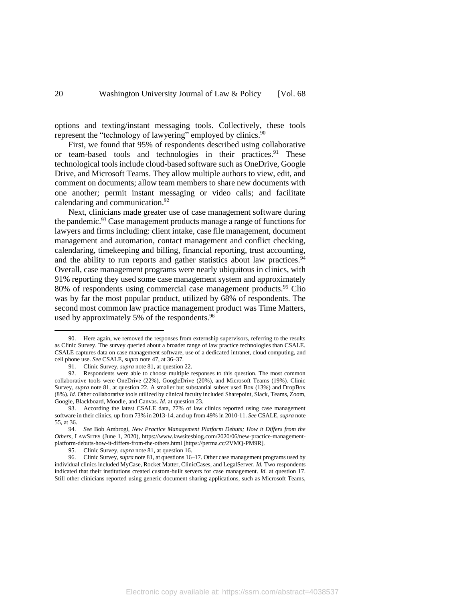options and texting/instant messaging tools. Collectively, these tools represent the "technology of lawyering" employed by clinics.<sup>90</sup>

First, we found that 95% of respondents described using collaborative or team-based tools and technologies in their practices. <sup>91</sup> These technological tools include cloud-based software such as OneDrive, Google Drive, and Microsoft Teams. They allow multiple authors to view, edit, and comment on documents; allow team members to share new documents with one another; permit instant messaging or video calls; and facilitate calendaring and communication.<sup>92</sup>

Next, clinicians made greater use of case management software during the pandemic.<sup>93</sup> Case management products manage a range of functions for lawyers and firms including: client intake, case file management, document management and automation, contact management and conflict checking, calendaring, timekeeping and billing, financial reporting, trust accounting, and the ability to run reports and gather statistics about law practices.<sup>94</sup> Overall, case management programs were nearly ubiquitous in clinics, with 91% reporting they used some case management system and approximately 80% of respondents using commercial case management products.<sup>95</sup> Clio was by far the most popular product, utilized by 68% of respondents. The second most common law practice management product was Time Matters, used by approximately 5% of the respondents.<sup>96</sup>

95. Clinic Survey, *supra* note 81, at question 16.

<sup>90.</sup> Here again, we removed the responses from externship supervisors, referring to the results as Clinic Survey. The survey queried about a broader range of law practice technologies than CSALE. CSALE captures data on case management software, use of a dedicated intranet, cloud computing, and cell phone use. *See* CSALE, *supra* note 47, at 36–37.

<sup>91.</sup> Clinic Survey, *supra* note 81, at question 22.

<sup>92.</sup> Respondents were able to choose multiple responses to this question. The most common collaborative tools were OneDrive (22%), GoogleDrive (20%), and Microsoft Teams (19%). Clinic Survey, *supra* note 81, at question 22. A smaller but substantial subset used Box (13%) and DropBox (8%). *Id.* Other collaborative tools utilized by clinical faculty included Sharepoint, Slack, Teams, Zoom, Google, Blackboard, Moodle, and Canvas. *Id.* at question 23.

<sup>93.</sup> According the latest CSALE data, 77% of law clinics reported using case management software in their clinics, up from 73% in 2013-14, and up from 49% in 2010-11. *See* CSALE, *supra* note [55,](#page-13-1) at 36.

<sup>94.</sup> *See* Bob Ambrogi, *New Practice Management Platform Debuts; How it Differs from the Others*, LAWSITES (June 1, 2020), https://www.lawsitesblog.com/2020/06/new-practice-managementplatform-debuts-how-it-differs-from-the-others.html [https://perma.cc/2VMQ-PM9R].

<sup>96.</sup> Clinic Survey, *supra* note 81, at questions 16–17. Other case management programs used by individual clinics included MyCase, Rocket Matter, ClinicCases, and LegalServer. *Id.* Two respondents indicated that their institutions created custom-built servers for case management. *Id.* at question 17. Still other clinicians reported using generic document sharing applications, such as Microsoft Teams,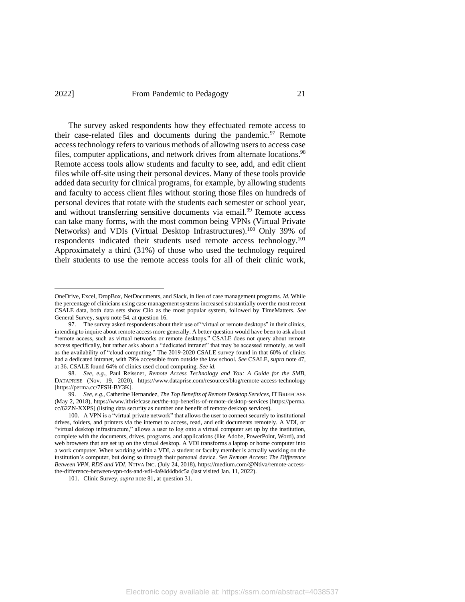## 2022] From Pandemic to Pedagogy 21

The survey asked respondents how they effectuated remote access to their case-related files and documents during the pandemic.<sup>97</sup> Remote access technology refers to various methods of allowing users to access case files, computer applications, and network drives from alternate locations.<sup>98</sup> Remote access tools allow students and faculty to see, add, and edit client files while off-site using their personal devices. Many of these tools provide added data security for clinical programs, for example, by allowing students and faculty to access client files without storing those files on hundreds of personal devices that rotate with the students each semester or school year, and without transferring sensitive documents via email.<sup>99</sup> Remote access can take many forms, with the most common being VPNs (Virtual Private Networks) and VDIs (Virtual Desktop Infrastructures).<sup>100</sup> Only 39% of respondents indicated their students used remote access technology.<sup>101</sup> Approximately a third (31%) of those who used the technology required their students to use the remote access tools for all of their clinic work,

OneDrive, Excel, DropBox, NetDocuments, and Slack, in lieu of case management programs. *Id.* While the percentage of clinicians using case management systems increased substantially over the most recent CSALE data, both data sets show Clio as the most popular system, followed by TimeMatters. *See*  General Survey, *supra* note 54, at question 16.

<sup>97.</sup> The survey asked respondents about their use of "virtual or remote desktops" in their clinics, intending to inquire about remote access more generally. A better question would have been to ask about "remote access, such as virtual networks or remote desktops." CSALE does not query about remote access specifically, but rather asks about a "dedicated intranet" that may be accessed remotely, as well as the availability of "cloud computing." The 2019-2020 CSALE survey found in that 60% of clinics had a dedicated intranet, with 79% accessible from outside the law school. *See* CSALE, *supra* note 47, at 36. CSALE found 64% of clinics used cloud computing. *See id.*

<sup>98.</sup> *See, e.g.*, Paul Reissner, *Remote Access Technology and You: A Guide for the SMB*, DATAPRISE (Nov. 19, 2020), https://www.dataprise.com/resources/blog/remote-access-technology [https://perma.cc/7FSH-BY3K].

<sup>99.</sup> *See, e.g.*, Catherine Hernandez, *The Top Benefits of Remote Desktop Services*, ITBRIEFCASE (May 2, 2018), https://www.itbriefcase.net/the-top-benefits-of-remote-desktop-services [https://perma. cc/62ZN-XXPS] (listing data security as number one benefit of remote desktop services).

<sup>100.</sup> A VPN is a "virtual private network" that allows the user to connect securely to institutional drives, folders, and printers via the internet to access, read, and edit documents remotely. A VDI, or "virtual desktop infrastructure," allows a user to log onto a virtual computer set up by the institution, complete with the documents, drives, programs, and applications (like Adobe, PowerPoint, Word), and web browsers that are set up on the virtual desktop. A VDI transforms a laptop or home computer into a work computer. When working within a VDI, a student or faculty member is actually working on the institution's computer, but doing so through their personal device. *See Remote Access: The Difference Between VPN, RDS and VDI*, NTIVA INC. (July 24, 2018), https://medium.com/@Ntiva/remote-accessthe-difference-between-vpn-rds-and-vdi-4a94d4db4c5a (last visited Jan. 11, 2022).

<sup>101.</sup> Clinic Survey, *supra* note 81, at question 31.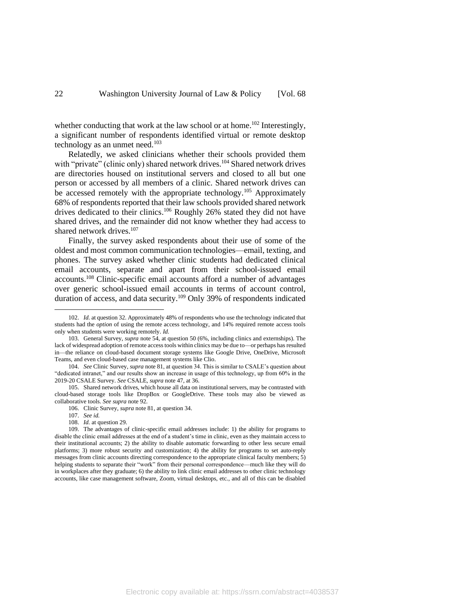whether conducting that work at the law school or at home.<sup>102</sup> Interestingly, a significant number of respondents identified virtual or remote desktop technology as an unmet need.<sup>103</sup>

Relatedly, we asked clinicians whether their schools provided them with "private" (clinic only) shared network drives.<sup>104</sup> Shared network drives are directories housed on institutional servers and closed to all but one person or accessed by all members of a clinic. Shared network drives can be accessed remotely with the appropriate technology.<sup>105</sup> Approximately 68% of respondents reported that their law schools provided shared network drives dedicated to their clinics.<sup>106</sup> Roughly 26% stated they did not have shared drives, and the remainder did not know whether they had access to shared network drives.<sup>107</sup>

Finally, the survey asked respondents about their use of some of the oldest and most common communication technologies—email, texting, and phones. The survey asked whether clinic students had dedicated clinical email accounts, separate and apart from their school-issued email accounts.<sup>108</sup> Clinic-specific email accounts afford a number of advantages over generic school-issued email accounts in terms of account control, duration of access, and data security.<sup>109</sup> Only 39% of respondents indicated

108. *Id.* at question 29.

Electronic copy available at: https://ssrn.com/abstract=4038537

<sup>102.</sup> *Id.* at question 32. Approximately 48% of respondents who use the technology indicated that students had the *option* of using the remote access technology, and 14% required remote access tools only when students were working remotely. *Id.*

<sup>103.</sup> General Survey, *supra* not[e 54,](#page-13-0) at question 50 (6%, including clinics and externships). The lack of widespread adoption of remote access tools within clinics may be due to—or perhaps has resulted in—the reliance on cloud-based document storage systems like Google Drive, OneDrive, Microsoft Teams, and even cloud-based case management systems like Clio.

<sup>104.</sup> *See* Clinic Survey, *supra* note 81, at question 34. This is similar to CSALE's question about "dedicated intranet," and our results show an increase in usage of this technology, up from 60% in the 2019-20 CSALE Survey. *See* CSALE, *supra* note 47, at 36.

<sup>105.</sup> Shared network drives, which house all data on institutional servers, may be contrasted with cloud-based storage tools like DropBox or GoogleDrive. These tools may also be viewed as collaborative tools. *See supra* note 92.

<sup>106.</sup> Clinic Survey, *supra* note 81, at question 34.

<sup>107.</sup> *See id.*

<sup>109.</sup> The advantages of clinic-specific email addresses include: 1) the ability for programs to disable the clinic email addresses at the end of a student's time in clinic, even as they maintain access to their institutional accounts; 2) the ability to disable automatic forwarding to other less secure email platforms; 3) more robust security and customization; 4) the ability for programs to set auto-reply messages from clinic accounts directing correspondence to the appropriate clinical faculty members; 5) helping students to separate their "work" from their personal correspondence—much like they will do in workplaces after they graduate; 6) the ability to link clinic email addresses to other clinic technology accounts, like case management software, Zoom, virtual desktops, etc., and all of this can be disabled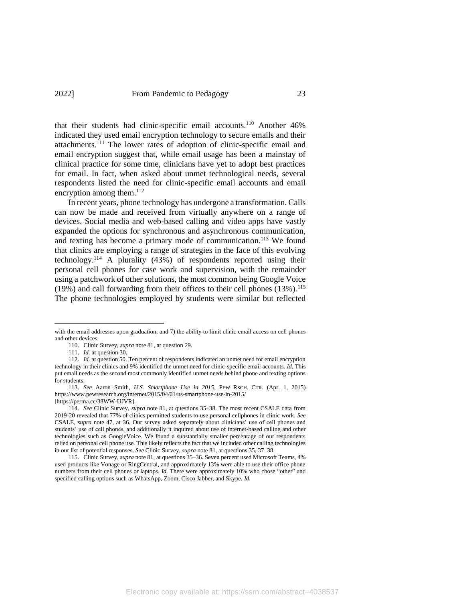that their students had clinic-specific email accounts.<sup>110</sup> Another 46% indicated they used email encryption technology to secure emails and their attachments.<sup>111</sup> The lower rates of adoption of clinic-specific email and email encryption suggest that, while email usage has been a mainstay of clinical practice for some time, clinicians have yet to adopt best practices for email. In fact, when asked about unmet technological needs, several respondents listed the need for clinic-specific email accounts and email encryption among them.<sup>112</sup>

In recent years, phone technology has undergone a transformation. Calls can now be made and received from virtually anywhere on a range of devices. Social media and web-based calling and video apps have vastly expanded the options for synchronous and asynchronous communication, and texting has become a primary mode of communication. <sup>113</sup> We found that clinics are employing a range of strategies in the face of this evolving technology.<sup>114</sup> A plurality  $(43%)$  of respondents reported using their personal cell phones for case work and supervision, with the remainder using a patchwork of other solutions, the most common being Google Voice (19%) and call forwarding from their offices to their cell phones (13%). 115 The phone technologies employed by students were similar but reflected

with the email addresses upon graduation; and 7) the ability to limit clinic email access on cell phones and other devices.

<sup>110.</sup> Clinic Survey, *supra* note 81, at question 29.

<sup>111.</sup> *Id.* at question 30.

<sup>112.</sup> *Id.* at question 50. Ten percent of respondents indicated an unmet need for email encryption technology in their clinics and 9% identified the unmet need for clinic-specific email accounts. *Id.* This put email needs as the second most commonly identified unmet needs behind phone and texting options for students.

<sup>113.</sup> *See* Aaron Smith, *U.S. Smartphone Use in 2015*, PEW RSCH. CTR. (Apr. 1, 2015) https://www.pewresearch.org/internet/2015/04/01/us-smartphone-use-in-2015/ [https://perma.cc/38WW-UJVR].

<sup>114.</sup> *See* Clinic Survey, *supra* note 81, at questions 35–38. The most recent CSALE data from 2019-20 revealed that 77% of clinics permitted students to use personal cellphones in clinic work. *See*  CSALE, *supra* note 47, at 36. Our survey asked separately about clinicians' use of cell phones and students' use of cell phones, and additionally it inquired about use of internet-based calling and other technologies such as GoogleVoice. We found a substantially smaller percentage of our respondents relied on personal cell phone use. This likely reflects the fact that we included other calling technologies in our list of potential responses. *See* Clinic Survey, *supra* note 81, at questions 35, 37–38.

<sup>115.</sup> Clinic Survey, *supra* note 81, at questions 35–36. Seven percent used Microsoft Teams, 4% used products like Vonage or RingCentral, and approximately 13% were able to use their office phone numbers from their cell phones or laptops. *Id.* There were approximately 10% who chose "other" and specified calling options such as WhatsApp, Zoom, Cisco Jabber, and Skype. *Id.*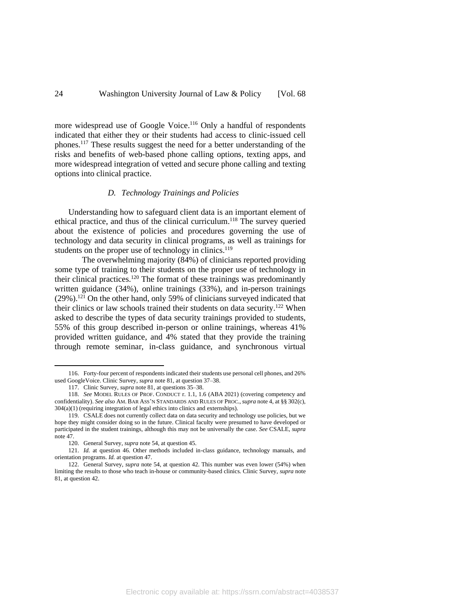more widespread use of Google Voice.<sup>116</sup> Only a handful of respondents indicated that either they or their students had access to clinic-issued cell phones. <sup>117</sup> These results suggest the need for a better understanding of the risks and benefits of web-based phone calling options, texting apps, and more widespread integration of vetted and secure phone calling and texting options into clinical practice.

#### *D. Technology Trainings and Policies*

Understanding how to safeguard client data is an important element of ethical practice, and thus of the clinical curriculum. <sup>118</sup> The survey queried about the existence of policies and procedures governing the use of technology and data security in clinical programs, as well as trainings for students on the proper use of technology in clinics.<sup>119</sup>

The overwhelming majority (84%) of clinicians reported providing some type of training to their students on the proper use of technology in their clinical practices.<sup>120</sup> The format of these trainings was predominantly written guidance (34%), online trainings (33%), and in-person trainings  $(29\%)$ .<sup>121</sup> On the other hand, only 59% of clinicians surveyed indicated that their clinics or law schools trained their students on data security.<sup>122</sup> When asked to describe the types of data security trainings provided to students, 55% of this group described in-person or online trainings, whereas 41% provided written guidance, and 4% stated that they provide the training through remote seminar, in-class guidance, and synchronous virtual

<sup>116.</sup> Forty-four percent of respondents indicated their students use personal cell phones, and 26% used GoogleVoice. Clinic Survey, *supra* not[e 81,](#page-17-0) at question 37–38.

<sup>117.</sup> Clinic Survey, *supra* note 81, at questions 35–38.

<sup>118.</sup> *See* MODEL RULES OF PROF. CONDUCT r. 1.1, 1.6 (ABA 2021) (covering competency and confidentiality). *See also* AM. BAR ASS'N STANDARDS AND RULES OF PROC., *supra* not[e 4,](#page-1-0) at §§ 302(c), 304(a)(1) (requiring integration of legal ethics into clinics and externships).

<sup>119.</sup> CSALE does not currently collect data on data security and technology use policies, but we hope they might consider doing so in the future. Clinical faculty were presumed to have developed or participated in the student trainings, although this may not be universally the case. *See* CSALE, *supra* note 47.

<sup>120.</sup> General Survey, *supra* not[e 54,](#page-13-0) at question 45.

<sup>121.</sup> *Id.* at question 46. Other methods included in-class guidance, technology manuals, and orientation programs. *Id.* at question 47.

<sup>122.</sup> General Survey, *supra* note [54,](#page-13-0) at question 42. This number was even lower (54%) when limiting the results to those who teach in-house or community-based clinics. Clinic Survey, *supra* note 81, at question 42.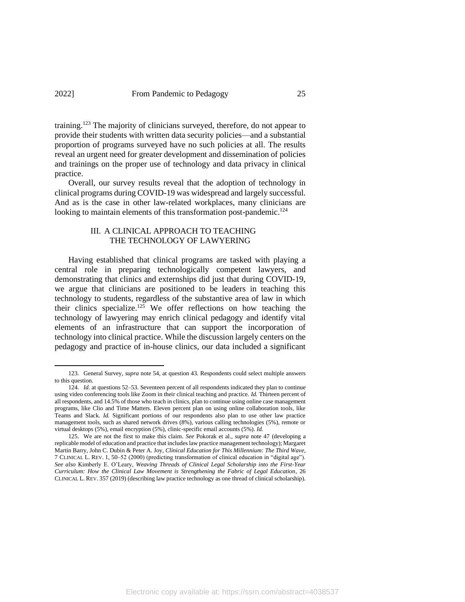training.<sup>123</sup> The majority of clinicians surveyed, therefore, do not appear to provide their students with written data security policies—and a substantial proportion of programs surveyed have no such policies at all. The results reveal an urgent need for greater development and dissemination of policies and trainings on the proper use of technology and data privacy in clinical practice.

Overall, our survey results reveal that the adoption of technology in clinical programs during COVID-19 was widespread and largely successful. And as is the case in other law-related workplaces, many clinicians are looking to maintain elements of this transformation post-pandemic.<sup>124</sup>

## III. A CLINICAL APPROACH TO TEACHING THE TECHNOLOGY OF LAWYERING

Having established that clinical programs are tasked with playing a central role in preparing technologically competent lawyers, and demonstrating that clinics and externships did just that during COVID-19, we argue that clinicians are positioned to be leaders in teaching this technology to students, regardless of the substantive area of law in which their clinics specialize. <sup>125</sup> We offer reflections on how teaching the technology of lawyering may enrich clinical pedagogy and identify vital elements of an infrastructure that can support the incorporation of technology into clinical practice. While the discussion largely centers on the pedagogy and practice of in-house clinics, our data included a significant

<sup>123.</sup> General Survey, *supra* not[e 54,](#page-13-0) at question 43. Respondents could select multiple answers to this question.

<sup>124.</sup> *Id.* at questions 52–53. Seventeen percent of all respondents indicated they plan to continue using video conferencing tools like Zoom in their clinical teaching and practice. *Id.* Thirteen percent of all respondents, and 14.5% of those who teach in clinics, plan to continue using online case management programs, like Clio and Time Matters. Eleven percent plan on using online collaboration tools, like Teams and Slack. *Id.* Significant portions of our respondents also plan to use other law practice management tools, such as shared network drives (8%), various calling technologies (5%), remote or virtual desktops (5%), email encryption (5%), clinic-specific email accounts (5%). *Id.*

<sup>125.</sup> We are not the first to make this claim. *See* Pokorak et al., *supra* note [47](#page-11-1) (developing a replicable model of education and practice that includes law practice management technology); Margaret Martin Barry, John C. Dubin & Peter A. Joy, *Clinical Education for This Millennium: The Third Wave*, 7 CLINICAL L. REV. 1, 50–52 (2000) (predicting transformation of clinical education in "digital age"). *See also* Kimberly E. O'Leary, *Weaving Threads of Clinical Legal Scholarship into the First-Year Curriculum: How the Clinical Law Movement is Strengthening the Fabric of Legal Education*, 26 CLINICAL L. REV. 357 (2019) (describing law practice technology as one thread of clinical scholarship).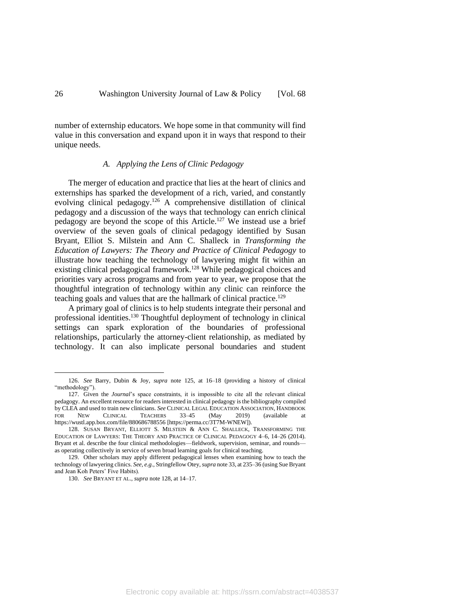number of externship educators. We hope some in that community will find value in this conversation and expand upon it in ways that respond to their unique needs.

### *A. Applying the Lens of Clinic Pedagogy*

The merger of education and practice that lies at the heart of clinics and externships has sparked the development of a rich, varied, and constantly evolving clinical pedagogy.<sup>126</sup> A comprehensive distillation of clinical pedagogy and a discussion of the ways that technology can enrich clinical pedagogy are beyond the scope of this Article.<sup>127</sup> We instead use a brief overview of the seven goals of clinical pedagogy identified by Susan Bryant, Elliot S. Milstein and Ann C. Shalleck in *Transforming the Education of Lawyers: The Theory and Practice of Clinical Pedagogy* to illustrate how teaching the technology of lawyering might fit within an existing clinical pedagogical framework.<sup>128</sup> While pedagogical choices and priorities vary across programs and from year to year, we propose that the thoughtful integration of technology within any clinic can reinforce the teaching goals and values that are the hallmark of clinical practice.<sup>129</sup>

A primary goal of clinics is to help students integrate their personal and professional identities. <sup>130</sup> Thoughtful deployment of technology in clinical settings can spark exploration of the boundaries of professional relationships, particularly the attorney-client relationship, as mediated by technology. It can also implicate personal boundaries and student

<sup>126.</sup> *See* Barry, Dubin & Joy, *supra* note 125, at 16–18 (providing a history of clinical "methodology").

<sup>127.</sup> Given the *Journal*'s space constraints, it is impossible to cite all the relevant clinical pedagogy. An excellent resource for readers interested in clinical pedagogy isthe bibliography compiled by CLEA and used to train new clinicians. *See* CLINICAL LEGAL EDUCATION ASSOCIATION, HANDBOOK FOR NEW CLINICAL TEACHERS 33-45 (May 2019) (available https://wustl.app.box.com/file/880686788556 [https://perma.cc/3T7M-WNEW]).

<sup>128.</sup> SUSAN BRYANT, ELLIOTT S. MILSTEIN & ANN C. SHALLECK, TRANSFORMING THE EDUCATION OF LAWYERS: THE THEORY AND PRACTICE OF CLINICAL PEDAGOGY 4–6, 14–26 (2014). Bryant et al. describe the four clinical methodologies—fieldwork, supervision, seminar, and rounds as operating collectively in service of seven broad learning goals for clinical teaching.

<sup>129.</sup> Other scholars may apply different pedagogical lenses when examining how to teach the technology of lawyering clinics. *See, e.g.*, Stringfellow Otey, *supra* not[e 33,](#page-8-0) at 235–36 (using Sue Bryant and Jean Koh Peters' Five Habits).

<sup>130.</sup> *See* BRYANT ET AL., *supra* note 128, at 14–17.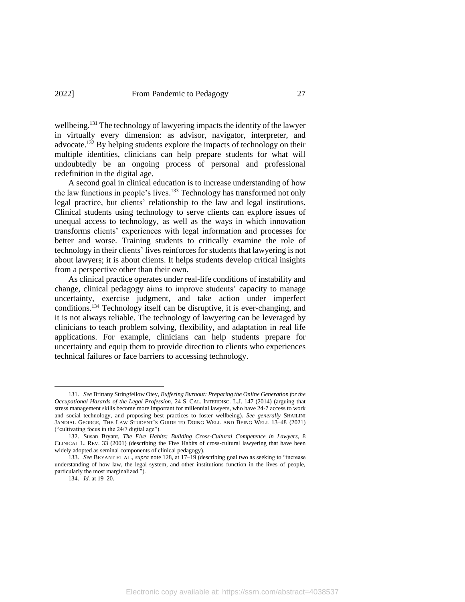wellbeing.<sup>131</sup> The technology of lawyering impacts the identity of the lawyer in virtually every dimension: as advisor, navigator, interpreter, and advocate.<sup>132</sup> By helping students explore the impacts of technology on their multiple identities, clinicians can help prepare students for what will undoubtedly be an ongoing process of personal and professional redefinition in the digital age.

A second goal in clinical education is to increase understanding of how the law functions in people's lives.<sup>133</sup> Technology has transformed not only legal practice, but clients' relationship to the law and legal institutions. Clinical students using technology to serve clients can explore issues of unequal access to technology, as well as the ways in which innovation transforms clients' experiences with legal information and processes for better and worse. Training students to critically examine the role of technology in their clients' lives reinforces for students that lawyering is not about lawyers; it is about clients. It helps students develop critical insights from a perspective other than their own.

As clinical practice operates under real-life conditions of instability and change, clinical pedagogy aims to improve students' capacity to manage uncertainty, exercise judgment, and take action under imperfect conditions. <sup>134</sup> Technology itself can be disruptive, it is ever-changing, and it is not always reliable. The technology of lawyering can be leveraged by clinicians to teach problem solving, flexibility, and adaptation in real life applications. For example, clinicians can help students prepare for uncertainty and equip them to provide direction to clients who experiences technical failures or face barriers to accessing technology.

134. *Id.* at 19–20.

<sup>131.</sup> *See* Brittany Stringfellow Otey, *Buffering Burnout: Preparing the Online Generation for the Occupational Hazards of the Legal Profession*, 24 S. CAL. INTERDISC. L.J. 147 (2014) (arguing that stress management skills become more important for millennial lawyers, who have 24-7 access to work and social technology, and proposing best practices to foster wellbeing). *See generally* SHAILINI JANDIAL GEORGE, THE LAW STUDENT'S GUIDE TO DOING WELL AND BEING WELL 13–48 (2021) ("cultivating focus in the 24/7 digital age").

<sup>132.</sup> Susan Bryant, *The Five Habits: Building Cross-Cultural Competence in Lawyers*, 8 CLINICAL L. REV. 33 (2001) (describing the Five Habits of cross-cultural lawyering that have been widely adopted as seminal components of clinical pedagogy).

<sup>133.</sup> *See* BRYANT ET AL., *supra* note 128, at 17–19 (describing goal two as seeking to "increase understanding of how law, the legal system, and other institutions function in the lives of people, particularly the most marginalized.").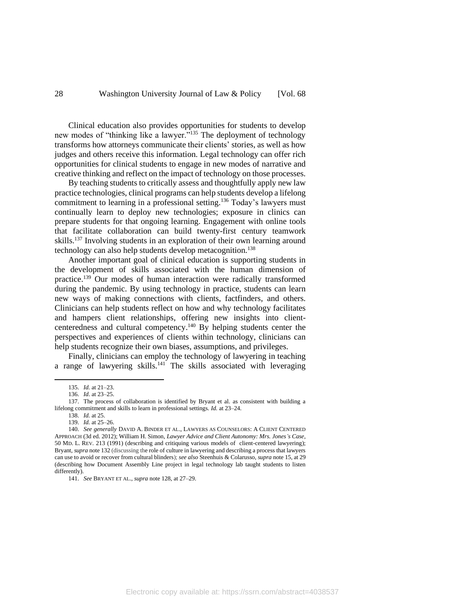Clinical education also provides opportunities for students to develop new modes of "thinking like a lawyer."<sup>135</sup> The deployment of technology transforms how attorneys communicate their clients' stories, as well as how judges and others receive this information. Legal technology can offer rich opportunities for clinical students to engage in new modes of narrative and creative thinking and reflect on the impact of technology on those processes.

By teaching students to critically assess and thoughtfully apply new law practice technologies, clinical programs can help students develop a lifelong commitment to learning in a professional setting.<sup>136</sup> Today's lawyers must continually learn to deploy new technologies; exposure in clinics can prepare students for that ongoing learning. Engagement with online tools that facilitate collaboration can build twenty-first century teamwork skills. <sup>137</sup> Involving students in an exploration of their own learning around technology can also help students develop metacognition.<sup>138</sup>

Another important goal of clinical education is supporting students in the development of skills associated with the human dimension of practice. <sup>139</sup> Our modes of human interaction were radically transformed during the pandemic. By using technology in practice, students can learn new ways of making connections with clients, factfinders, and others. Clinicians can help students reflect on how and why technology facilitates and hampers client relationships, offering new insights into clientcenteredness and cultural competency. <sup>140</sup> By helping students center the perspectives and experiences of clients within technology, clinicians can help students recognize their own biases, assumptions, and privileges.

Finally, clinicians can employ the technology of lawyering in teaching a range of lawyering skills.<sup>141</sup> The skills associated with leveraging

<sup>135.</sup> *Id.* at 21–23.

<sup>136.</sup> *Id*. at 23–25.

<sup>137.</sup> The process of collaboration is identified by Bryant et al. as consistent with building a lifelong commitment and skills to learn in professional settings*. Id.* at 23–24.

<sup>138.</sup> *Id.* at 25.

<sup>139.</sup> *Id.* at 25–26.

<sup>140.</sup> *See generally* DAVID A. BINDER ET AL., LAWYERS AS COUNSELORS: A CLIENT CENTERED APPROACH (3d ed. 2012); William H. Simon, *Lawyer Advice and Client Autonomy: Mrs. Jones's Case*, 50 MD. L. REV. 213 (1991) (describing and critiquing various models of client-centered lawyering); Bryant, *supra* note 132 (discussing the role of culture in lawyering and describing a process that lawyers can use to avoid or recover from cultural blinders); *see also* Steenhuis & Colarusso, *supra* note 15, at 29 (describing how Document Assembly Line project in legal technology lab taught students to listen differently).

<sup>141.</sup> *See* BRYANT ET AL., *supra* note 128, at 27–29.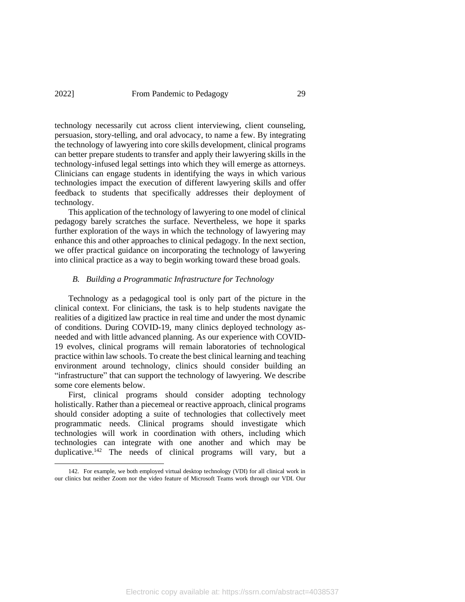## 2022] From Pandemic to Pedagogy 29

technology necessarily cut across client interviewing, client counseling, persuasion, story-telling, and oral advocacy, to name a few. By integrating the technology of lawyering into core skills development, clinical programs can better prepare students to transfer and apply their lawyering skills in the technology-infused legal settings into which they will emerge as attorneys. Clinicians can engage students in identifying the ways in which various technologies impact the execution of different lawyering skills and offer feedback to students that specifically addresses their deployment of technology.

This application of the technology of lawyering to one model of clinical pedagogy barely scratches the surface. Nevertheless, we hope it sparks further exploration of the ways in which the technology of lawyering may enhance this and other approaches to clinical pedagogy. In the next section, we offer practical guidance on incorporating the technology of lawyering into clinical practice as a way to begin working toward these broad goals.

#### *B. Building a Programmatic Infrastructure for Technology*

Technology as a pedagogical tool is only part of the picture in the clinical context. For clinicians, the task is to help students navigate the realities of a digitized law practice in real time and under the most dynamic of conditions. During COVID-19, many clinics deployed technology asneeded and with little advanced planning. As our experience with COVID-19 evolves, clinical programs will remain laboratories of technological practice within law schools. To create the best clinical learning and teaching environment around technology, clinics should consider building an "infrastructure" that can support the technology of lawyering. We describe some core elements below.

First, clinical programs should consider adopting technology holistically. Rather than a piecemeal or reactive approach, clinical programs should consider adopting a suite of technologies that collectively meet programmatic needs. Clinical programs should investigate which technologies will work in coordination with others, including which technologies can integrate with one another and which may be duplicative.<sup>142</sup> The needs of clinical programs will vary, but a

<sup>142.</sup> For example, we both employed virtual desktop technology (VDI) for all clinical work in our clinics but neither Zoom nor the video feature of Microsoft Teams work through our VDI. Our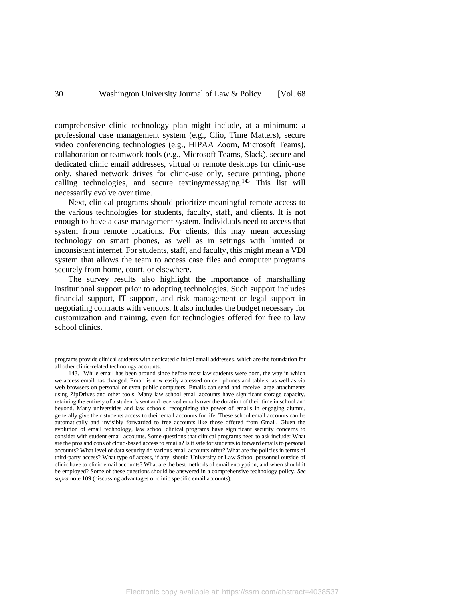comprehensive clinic technology plan might include, at a minimum: a professional case management system (e.g., Clio, Time Matters), secure video conferencing technologies (e.g., HIPAA Zoom, Microsoft Teams), collaboration or teamwork tools (e.g., Microsoft Teams, Slack), secure and dedicated clinic email addresses, virtual or remote desktops for clinic-use only, shared network drives for clinic-use only, secure printing, phone calling technologies, and secure texting/messaging.<sup>143</sup> This list will necessarily evolve over time.

Next, clinical programs should prioritize meaningful remote access to the various technologies for students, faculty, staff, and clients. It is not enough to have a case management system. Individuals need to access that system from remote locations. For clients, this may mean accessing technology on smart phones, as well as in settings with limited or inconsistent internet. For students, staff, and faculty, this might mean a VDI system that allows the team to access case files and computer programs securely from home, court, or elsewhere.

The survey results also highlight the importance of marshalling institutional support prior to adopting technologies. Such support includes financial support, IT support, and risk management or legal support in negotiating contracts with vendors. It also includes the budget necessary for customization and training, even for technologies offered for free to law school clinics.

programs provide clinical students with dedicated clinical email addresses, which are the foundation for all other clinic-related technology accounts.

<sup>143.</sup> While email has been around since before most law students were born, the way in which we access email has changed. Email is now easily accessed on cell phones and tablets, as well as via web browsers on personal or even public computers. Emails can send and receive large attachments using ZipDrives and other tools. Many law school email accounts have significant storage capacity, retaining the entirety of a student's sent and received emails over the duration of their time in school and beyond. Many universities and law schools, recognizing the power of emails in engaging alumni, generally give their students access to their email accounts for life. These school email accounts can be automatically and invisibly forwarded to free accounts like those offered from Gmail. Given the evolution of email technology, law school clinical programs have significant security concerns to consider with student email accounts. Some questions that clinical programs need to ask include: What are the pros and cons of cloud-based access to emails? Is it safe for students to forward emails to personal accounts? What level of data security do various email accounts offer? What are the policies in terms of third-party access? What type of access, if any, should University or Law School personnel outside of clinic have to clinic email accounts? What are the best methods of email encryption, and when should it be employed? Some of these questions should be answered in a comprehensive technology policy. *See supra* note 109 (discussing advantages of clinic specific email accounts).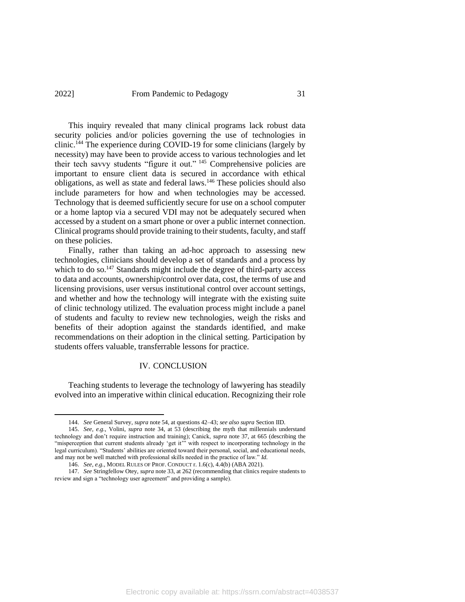### 2022] From Pandemic to Pedagogy 31

This inquiry revealed that many clinical programs lack robust data security policies and/or policies governing the use of technologies in clinic. <sup>144</sup> The experience during COVID-19 for some clinicians (largely by necessity) may have been to provide access to various technologies and let their tech savvy students "figure it out." <sup>145</sup> Comprehensive policies are important to ensure client data is secured in accordance with ethical obligations, as well as state and federal laws.<sup>146</sup> These policies should also include parameters for how and when technologies may be accessed. Technology that is deemed sufficiently secure for use on a school computer or a home laptop via a secured VDI may not be adequately secured when accessed by a student on a smart phone or over a public internet connection. Clinical programs should provide training to their students, faculty, and staff on these policies.

Finally, rather than taking an ad-hoc approach to assessing new technologies, clinicians should develop a set of standards and a process by which to do so.<sup>147</sup> Standards might include the degree of third-party access to data and accounts, ownership/control over data, cost, the terms of use and licensing provisions, user versus institutional control over account settings, and whether and how the technology will integrate with the existing suite of clinic technology utilized. The evaluation process might include a panel of students and faculty to review new technologies, weigh the risks and benefits of their adoption against the standards identified, and make recommendations on their adoption in the clinical setting. Participation by students offers valuable, transferrable lessons for practice.

#### IV. CONCLUSION

Teaching students to leverage the technology of lawyering has steadily evolved into an imperative within clinical education. Recognizing their role

<sup>144.</sup> *See* General Survey, *supra* not[e 54,](#page-13-0) at questions 42–43; *see also supra* Section IID.

<sup>145.</sup> *See, e.g.*, Volini, *supra* note 34, at 53 (describing the myth that millennials understand technology and don't require instruction and training); Canick, *supra* note [37,](#page-9-0) at 665 (describing the "misperception that current students already 'get it'" with respect to incorporating technology in the legal curriculum). "Students' abilities are oriented toward their personal, social, and educational needs, and may not be well matched with professional skills needed in the practice of law." *Id.*

<sup>146.</sup> *See, e.g.*, MODEL RULES OF PROF. CONDUCT r. 1.6(c), 4.4(b) (ABA 2021).

<sup>147.</sup> *See* Stringfellow Otey, *supra* not[e 33,](#page-8-0) at 262 (recommending that clinics require students to review and sign a "technology user agreement" and providing a sample).